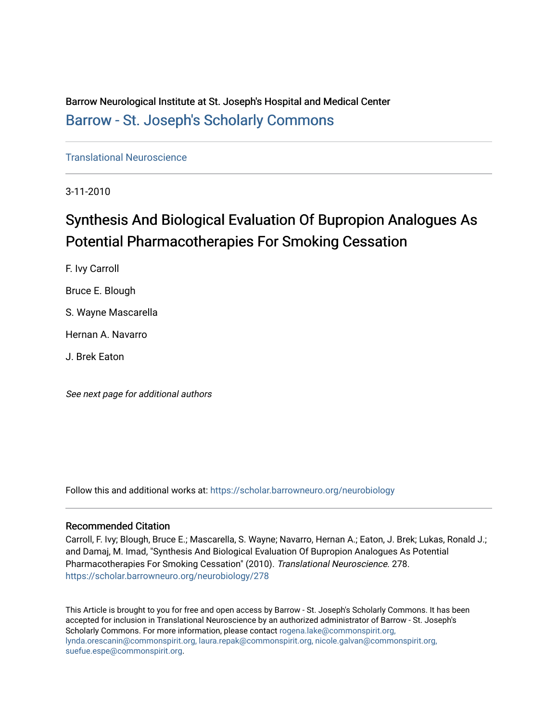Barrow Neurological Institute at St. Joseph's Hospital and Medical Center [Barrow - St. Joseph's Scholarly Commons](https://scholar.barrowneuro.org/) 

[Translational Neuroscience](https://scholar.barrowneuro.org/neurobiology)

3-11-2010

# Synthesis And Biological Evaluation Of Bupropion Analogues As Potential Pharmacotherapies For Smoking Cessation

F. Ivy Carroll Bruce E. Blough S. Wayne Mascarella Hernan A. Navarro

J. Brek Eaton

See next page for additional authors

Follow this and additional works at: [https://scholar.barrowneuro.org/neurobiology](https://scholar.barrowneuro.org/neurobiology?utm_source=scholar.barrowneuro.org%2Fneurobiology%2F278&utm_medium=PDF&utm_campaign=PDFCoverPages)

# Recommended Citation

Carroll, F. Ivy; Blough, Bruce E.; Mascarella, S. Wayne; Navarro, Hernan A.; Eaton, J. Brek; Lukas, Ronald J.; and Damaj, M. Imad, "Synthesis And Biological Evaluation Of Bupropion Analogues As Potential Pharmacotherapies For Smoking Cessation" (2010). Translational Neuroscience. 278. [https://scholar.barrowneuro.org/neurobiology/278](https://scholar.barrowneuro.org/neurobiology/278?utm_source=scholar.barrowneuro.org%2Fneurobiology%2F278&utm_medium=PDF&utm_campaign=PDFCoverPages)

This Article is brought to you for free and open access by Barrow - St. Joseph's Scholarly Commons. It has been accepted for inclusion in Translational Neuroscience by an authorized administrator of Barrow - St. Joseph's Scholarly Commons. For more information, please contact [rogena.lake@commonspirit.org,](mailto:rogena.lake@commonspirit.org,%20lynda.orescanin@commonspirit.org,%20laura.repak@commonspirit.org,%20nicole.galvan@commonspirit.org,%20suefue.espe@commonspirit.org) [lynda.orescanin@commonspirit.org, laura.repak@commonspirit.org, nicole.galvan@commonspirit.org,](mailto:rogena.lake@commonspirit.org,%20lynda.orescanin@commonspirit.org,%20laura.repak@commonspirit.org,%20nicole.galvan@commonspirit.org,%20suefue.espe@commonspirit.org)  [suefue.espe@commonspirit.org](mailto:rogena.lake@commonspirit.org,%20lynda.orescanin@commonspirit.org,%20laura.repak@commonspirit.org,%20nicole.galvan@commonspirit.org,%20suefue.espe@commonspirit.org).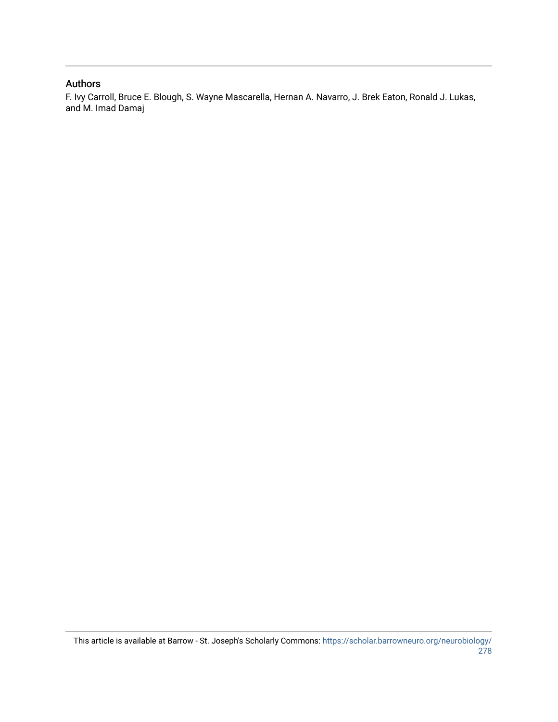# Authors

F. Ivy Carroll, Bruce E. Blough, S. Wayne Mascarella, Hernan A. Navarro, J. Brek Eaton, Ronald J. Lukas, and M. Imad Damaj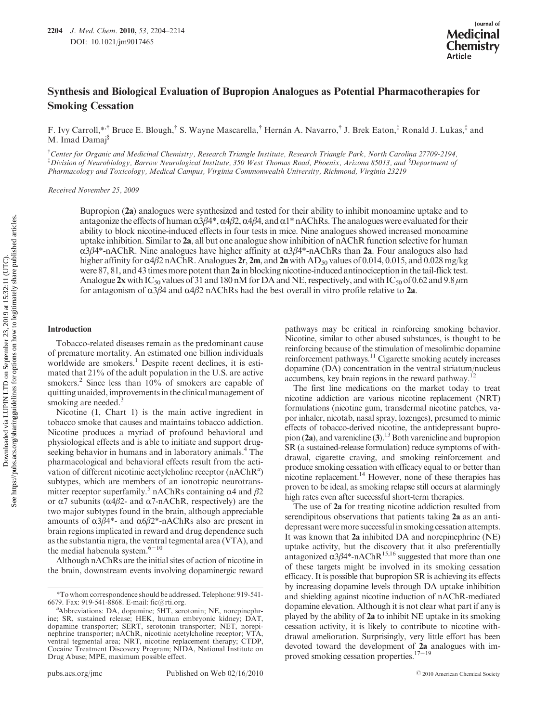# Synthesis and Biological Evaluation of Bupropion Analogues as Potential Pharmacotherapies for Smoking Cessation

F. Ivy Carroll,\*,† Bruce E. Blough,† S. Wayne Mascarella,† Hernan A. Navarro,† J. Brek Eaton,‡ Ronald J. Lukas,‡ and M. Imad Damaj<sup>§</sup>

† Center for Organic and Medicinal Chemistry, Research Triangle Institute, Research Triangle Park, North Carolina 27709-2194,  $^{\ddagger}$ Division of Neurobiology, Barrow Neurological Institute, 350 West Thomas Road, Phoenix, Arizona 85013, and  $^{\$}$ Department of Pharmacology and Toxicology, Medical Campus, Virginia Commonwealth University, Richmond, Virginia 23219

Received November 25, 2009

Bupropion (2a) analogues were synthesized and tested for their ability to inhibit monoamine uptake and to antagonize the effects of human  $\alpha\beta\beta^4$ ,  $\alpha\beta\beta$ ,  $\alpha\beta\beta$ , and  $\alpha\beta^*$  nAChRs. The analogues were evaluated for their ability to block nicotine-induced effects in four tests in mice. Nine analogues showed increased monoamine uptake inhibition. Similar to  $2a$ , all but one analogue show inhibition of nAChR function selective for human  $\alpha$ 3β4\*-nAChR. Nine analogues have higher affinity at  $\alpha$ 3β4\*-nAChRs than 2a. Four analogues also had higher affinity for  $\alpha$ 4β2 nAChR. Analogues 2r, 2m, and 2n with AD<sub>50</sub> values of 0.014, 0.015, and 0.028 mg/kg were 87, 81, and 43 times more potent than 2a in blocking nicotine-induced antinociception in the tail-flick test. Analogue 2x with IC<sub>50</sub> values of 31 and 180 nM for DA and NE, respectively, and with IC<sub>50</sub> of 0.62 and 9.8  $\mu$ m for antagonism of  $\alpha$ 3β4 and  $\alpha$ 4β2 nAChRs had the best overall in vitro profile relative to 2a.

### Introduction

Tobacco-related diseases remain as the predominant cause of premature mortality. An estimated one billion individuals worldwide are smokers.<sup>1</sup> Despite recent declines, it is estimated that 21% of the adult population in the U.S. are active smokers.<sup>2</sup> Since less than 10% of smokers are capable of quitting unaided, improvements in the clinical management of smoking are needed. $3$ 

Nicotine (1, Chart 1) is the main active ingredient in tobacco smoke that causes and maintains tobacco addiction. Nicotine produces a myriad of profound behavioral and physiological effects and is able to initiate and support drugseeking behavior in humans and in laboratory animals.<sup>4</sup> The pharmacological and behavioral effects result from the activation of different nicotinic acetylcholine receptor  $(nAChR<sup>a</sup>)$ subtypes, which are members of an ionotropic neurotransmitter receptor superfamily.<sup>5</sup> nAChRs containing  $\alpha$ 4 and  $\beta$ 2 or α7 subunits ( $α4β2$ - and  $α7$ -nAChR, respectively) are the two major subtypes found in the brain, although appreciable amounts of  $α3β4*-$  and  $α6β2*-nAChRs$  also are present in brain regions implicated in reward and drug dependence such as the substantia nigra, the ventral tegmental area (VTA), and the medial habenula system. $6-10$ 

Although nAChRs are the initial sites of action of nicotine in the brain, downstream events involving dopaminergic reward pathways may be critical in reinforcing smoking behavior. Nicotine, similar to other abused substances, is thought to be reinforcing because of the stimulation of mesolimbic dopamine reinforcement pathways.<sup>11</sup> Cigarette smoking acutely increases dopamine (DA) concentration in the ventral striatum/nucleus accumbens, key brain regions in the reward pathway.<sup>12</sup>

The first line medications on the market today to treat nicotine addiction are various nicotine replacement (NRT) formulations (nicotine gum, transdermal nicotine patches, vapor inhaler, nicotab, nasal spray, lozenges), presumed to mimic effects of tobacco-derived nicotine, the antidepressant bupropion  $(2a)$ , and varenicline  $(3)$ .<sup>13</sup> Both varenicline and bupropion SR (a sustained-release formulation) reduce symptoms of withdrawal, cigarette craving, and smoking reinforcement and produce smoking cessation with efficacy equal to or better than nicotine replacement.<sup>14</sup> However, none of these therapies has proven to be ideal, as smoking relapse still occurs at alarmingly high rates even after successful short-term therapies.

The use of 2a for treating nicotine addiction resulted from serendipitous observations that patients taking 2a as an antidepressant were more successful in smoking cessation attempts. It was known that 2a inhibited DA and norepinephrine (NE) uptake activity, but the discovery that it also preferentially antagonized  $\alpha$ 3β4\*-nAChR<sup>15,16</sup> suggested that more than one of these targets might be involved in its smoking cessation efficacy. It is possible that bupropion SR is achieving its effects by increasing dopamine levels through DA uptake inhibition and shielding against nicotine induction of nAChR-mediated dopamine elevation. Although it is not clear what part if any is played by the ability of 2a to inhibit NE uptake in its smoking cessation activity, it is likely to contribute to nicotine withdrawal amelioration. Surprisingly, very little effort has been devoted toward the development of 2a analogues with improved smoking cessation properties.17-<sup>19</sup>

<sup>\*</sup>To whom correspondence should be addressed. Telephone: 919-541- 6679. Fax: 919-541-8868. E-mail: fic@rti.org. <sup>a</sup>

Abbreviations: DA, dopamine; 5HT, serotonin; NE, norepinephrine; SR, sustained release; HEK, human embryonic kidney; DAT, dopamine transporter; SERT, serotonin transporter; NET, norepinephrine transporter; nAChR, nicotinic acetylcholine receptor; VTA, ventral tegmental area; NRT, nicotine replacement therapy; CTDP, Cocaine Treatment Discovery Program; NIDA, National Institute on Drug Abuse; MPE, maximum possible effect.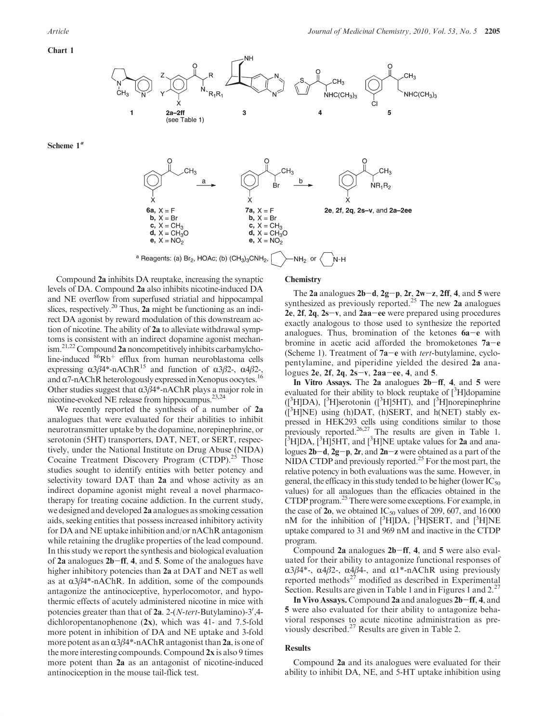Scheme  $1<sup>a</sup>$ 



 $\overrightarrow{b}$ ,  $X = Br$ 

c,  $X = CH_3$ 

 $d, X = CH<sub>3</sub>O$ e,  $X = NO_2$ 

2e, 2f, 2q, 2s-v, and 2a-2ee

N-H

<sup>a</sup> Reagents: (a)  $Br_2$ , HOAc; (b)  $(CH_3)_3CNH_2$ , -NH<sub>2</sub> or

Compound 2a inhibits DA reuptake, increasing the synaptic levels of DA. Compound 2a also inhibits nicotine-induced DA and NE overflow from superfused striatial and hippocampal slices, respectively.<sup>20</sup> Thus, **2a** might be functioning as an indirect DA agonist by reward modulation of this downstream action of nicotine. The ability of 2a to alleviate withdrawal symptoms is consistent with an indirect dopamine agonist mechanism.<sup>21,22</sup> Compound 2a noncompetitively inhibits carbamylcholine-induced  ${}^{86}Rb$ <sup>+</sup> efflux from human neuroblastoma cells expressing  $\alpha 3\beta 4^*$ -nAChR<sup>15</sup> and function of  $\alpha 3\beta 2$ -,  $\alpha 4\beta 2$ -, and  $\alpha$ 7-nAChR heterologously expressed in Xenopus oocytes.<sup>16</sup> Other studies suggest that  $\alpha$ 3 $\beta$ 4\*-nAChR plays a major role in nicotine-evoked NE release from hippocampus.<sup>23,24</sup>

 $b, X = Br$ c,  $X = CH_3$ 

 $d, X = CH<sub>3</sub>O$ 

e,  $X = NO<sub>2</sub>$ 

We recently reported the synthesis of a number of 2a analogues that were evaluated for their abilities to inhibit neurotransmitter uptake by the dopamine, norepinephrine, or serotonin (5HT) transporters, DAT, NET, or SERT, respectively, under the National Institute on Drug Abuse (NIDA) Cocaine Treatment Discovery Program (CTDP).<sup>25</sup> Those studies sought to identify entities with better potency and selectivity toward DAT than 2a and whose activity as an indirect dopamine agonist might reveal a novel pharmacotherapy for treating cocaine addiction. In the current study, we designed and developed 2a analogues as smoking cessation aids, seeking entities that possess increased inhibitory activity for DA and NE uptake inhibition and/or nAChR antagonism while retaining the druglike properties of the lead compound. In this study we report the synthesis and biological evaluation of 2a analogues 2b-ff, 4, and 5. Some of the analogues have higher inhibitory potencies than 2a at DAT and NET as well as at  $\alpha$ 3 $\beta$ 4\*-nAChR. In addition, some of the compounds antagonize the antinociceptive, hyperlocomotor, and hypothermic effects of acutely administered nicotine in mice with potencies greater than that of 2a. 2-(N-tert-Butylamino)-3',4dichloropentanophenone (2x), which was 41- and 7.5-fold more potent in inhibition of DA and NE uptake and 3-fold more potent as an  $\alpha$ 3 $\beta$ 4\*-nAChR antagonist than 2a, is one of the more interesting compounds. Compound 2x is also 9 times more potent than 2a as an antagonist of nicotine-induced antinociception in the mouse tail-flick test.

# **Chemistry**

The 2a analogues  $2b-d$ ,  $2g-p$ ,  $2r$ ,  $2w-z$ ,  $2ff$ , 4, and 5 were synthesized as previously reported.<sup>25</sup> The new **2a** analogues 2e,  $2f$ ,  $2g$ ,  $2s-v$ , and  $2aa-ee$  were prepared using procedures exactly analogous to those used to synthesize the reported analogues. Thus, bromination of the ketones  $6a-e$  with bromine in acetic acid afforded the bromoketones 7a-e (Scheme 1). Treatment of  $7a-e$  with *tert*-butylamine, cyclopentylamine, and piperidine yielded the desired 2a analogues 2e, 2f, 2q, 2s-v, 2aa-ee, 4, and 5.

In Vitro Assays. The 2a analogues 2b-ff, 4, and 5 were evaluated for their ability to block reuptake of [<sup>3</sup>H]dopamine ([<sup>3</sup>H]DA), [<sup>3</sup>H]serotonin ([<sup>3</sup>H]5HT), and [<sup>3</sup>H]norepinephrine ([3 H]NE) using (h)DAT, (h)SERT, and h(NET) stably expressed in HEK293 cells using conditions similar to those previously reported.<sup>26,27</sup> The results are given in Table 1.  $\left[\frac{3}{2}H\right]DA$ ,  $\left[\frac{3}{2}H\right]SHT$ , and  $\left[\frac{3}{2}H\right]NE$  uptake values for 2a and analogues  $2b-d$ ,  $2g-p$ ,  $2r$ , and  $2n-z$  were obtained as a part of the NIDA CTDP and previously reported.<sup>25</sup> For the most part, the relative potency in both evaluations was the same. However, in general, the efficacy in this study tended to be higher (lower  $IC_{50}$ ) values) for all analogues than the efficacies obtained in the CTDP program.<sup>25</sup> There were some exceptions. For example, in the case of  $20$ , we obtained IC<sub>50</sub> values of 209, 607, and 16 000 nM for the inhibition of  $[{}^{3}H]DA$ ,  $[{}^{3}H]SERT$ , and  $[{}^{3}H]NE$ uptake compared to 31 and 969 nM and inactive in the CTDP program.

Compound 2a analogues 2b-ff, 4, and 5 were also evaluated for their ability to antagonize functional responses of  $\alpha$ 3β4\*-,  $\alpha$ 4β2-,  $\alpha$ 4β4-, and  $\alpha$ 1\*-nAChR using previously reported methods<sup> $27$ </sup> modified as described in Experimental Section. Results are given in Table 1 and in Figures 1 and 2.<sup>27</sup>

In Vivo Assays. Compound 2a and analogues 2b-ff, 4, and 5 were also evaluated for their ability to antagonize behavioral responses to acute nicotine administration as previously described.<sup>27</sup> Results are given in Table 2.

## Results

Compound 2a and its analogues were evaluated for their ability to inhibit DA, NE, and 5-HT uptake inhibition using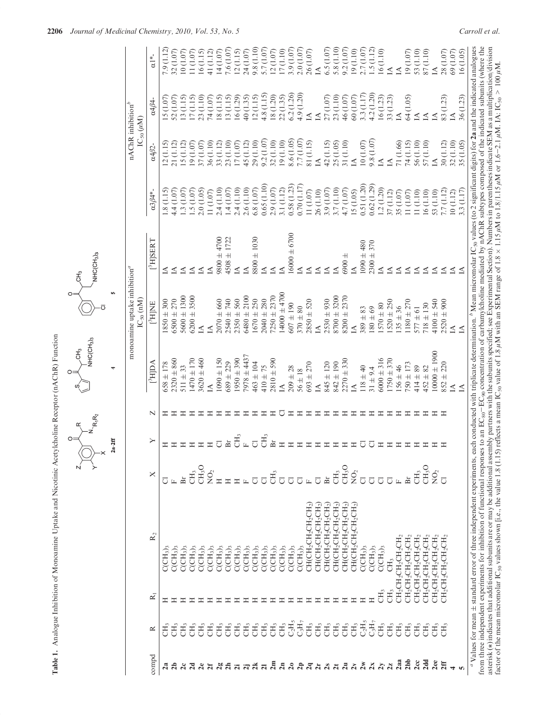|                               |                                    |                                                                                                                |                                   |                  | R <sub>1</sub> R <sub>2</sub> | NHC(CH <sub>3</sub> ) <sub>3</sub> |                                                            | NHC(CH <sub>3</sub> ) <sub>3</sub> |                         |                                                     |                           |                        |
|-------------------------------|------------------------------------|----------------------------------------------------------------------------------------------------------------|-----------------------------------|------------------|-------------------------------|------------------------------------|------------------------------------------------------------|------------------------------------|-------------------------|-----------------------------------------------------|---------------------------|------------------------|
|                               |                                    |                                                                                                                |                                   | $2a-2ff$         |                               | ÷                                  | s,                                                         |                                    |                         |                                                     |                           |                        |
|                               |                                    |                                                                                                                |                                   |                  |                               |                                    | monoamine uptake inhibition <sup>a</sup><br>$IC_{50}$ (nM) |                                    |                         | $nAChR$ inhibition <sup>b</sup><br>$IC_{50}(\mu M)$ |                           |                        |
| $\mathop{\mathrm{compd}}$     | ≃                                  | $\mathbb{R}_2$<br>$\bar{\kappa}$                                                                               | ×                                 | ≻                | N                             | $[{}^3H]DA$                        | [3HINE]                                                    | $[{}^{3}H]$ SERT                   | $\alpha 3\beta 4*-$     | $\alpha 4\beta 2$ -                                 | $\alpha 4\beta 4$ -       | $\alpha$ <sup>1*</sup> |
| $\mathbf{z}$                  | E                                  | CCH <sub>3</sub><br>Ξ                                                                                          | ℧                                 |                  |                               | $658 \pm 178$                      | $1850 \pm 300$                                             | ⊴                                  | 1.8(1.15)               | 12(1.15)                                            | (1.07)<br>$\overline{15}$ | 7.9 (1.12)             |
| ನೆ                            | Ę                                  | CCH <sub>3</sub> ) <sub>3</sub><br>Ξ                                                                           | $\boxed{\phantom{a}}$             |                  | ᆂ                             | $2320 \pm 860$                     | $5500 \pm 270$                                             | ₫                                  | 4.4(1.07)               | 21 (1.12)                                           | 52 (1.07)                 | 32 (1.07)              |
| $\alpha$                      | CH <sub>3</sub>                    | CCH <sub>3</sub><br>ェ                                                                                          | Br                                |                  | ≖                             | $511 \pm 33$                       | $5600 \pm 1300$                                            | ₫                                  | 1.3(1.07)               | 15(1.12)                                            | 13(1.15)                  | 10(1.07)               |
| $\overline{a}$                | CН,                                | CCH <sub>3</sub> ) <sub>3</sub><br>Ξ                                                                           | CH <sub>3</sub>                   |                  | ェ                             | $1470 \pm 170$                     | $6200 \pm 3500$                                            | $\Delta$                           | 1.5(1.07)               | 19(1.07)                                            | 17(1.15)                  | (1.07)                 |
| $\alpha$                      | CH <sub>3</sub>                    | CCH <sub>3</sub><br>Ξ                                                                                          | $\mathrm{CH_{3}O}$                |                  | ≖                             | $3620 \pm 460$                     | $\Delta$                                                   | ₫                                  | 2.0(1.05)               | 37(1.07)                                            | 23 (1.10)                 | 16(1.15)               |
| ম                             | CH <sub>3</sub>                    | $\mathrm{C}(\mathrm{CH}_3)_3$<br>Ξ                                                                             | $\mathop{{\rm SO}}\nolimits_2$    |                  | ェ                             | $\Delta$                           | ₫                                                          | $\Delta$                           | 11(1.07)                | 36 (1.10)                                           | 74 (1.07)                 | 41 (1.12)              |
|                               | CH <sub>3</sub>                    | CCH <sub>3</sub> )<br>Ξ                                                                                        |                                   |                  | Ξ                             | $1090 \pm 150$                     | $2070 \pm 660$                                             | $9800 \pm 4700$                    | 2.4(1.10)               | 33 (1.12)                                           | 18 (1.15)                 | 14 (1.07)              |
| ង៉ឺ ដឺ ដ ដ ដី ដ               | CH <sub>3</sub><br>$\mathrm{CH}_3$ | CCH <sub>3</sub> )<br>$\mathrm{C}(\mathrm{CH}_3)_3$<br>ェ<br>ェ                                                  | Ξ<br>Ξ                            | ЭH <sub>3</sub>  | ェ<br>ェ                        | $1950 \pm 390$<br>$689 \pm 229$    | $2350 \pm 560$<br>2540 ± 740                               | $4508 \pm 1722$<br>⊴               | 2.4 (1.10)<br>1.4(1.07) | 23 (1.10)<br>17(1.07)                               | 13 (1.15)<br>16(1.29)     | 7.6 (1.07)<br>12(1.15) |
|                               | CH <sub>3</sub>                    | CCH <sub>3</sub> ) <sub>3</sub><br>ェ                                                                           | $\boxed{\phantom{a}}$             |                  | ≖                             | $7978 \pm 4437$                    | $6480 + 2100$                                              | $\Delta$                           | 2.6 (1.10)              | 45 (1.12)                                           | 40(1.35)                  | 24 (1.07)              |
|                               | CH <sub>3</sub>                    | CCH <sub>3</sub><br>ェ                                                                                          | ਹ                                 | $\overline{\pi}$ | ェ                             | $463 \pm 104$                      | $1670 + 250$                                               | $8800 \pm 1030$                    | 6.8(1.07)               | 29 (1.10)                                           | 12(1.15)                  | 9.8 (1.10)             |
|                               | CH <sub>3</sub>                    | $\mathrm{C}(\mathrm{CH}_3)_3$<br>ᆂ                                                                             | Ō                                 | ŽН <sub>3</sub>  | ェ                             | $410 \pm 75$                       | $2040 \pm 280$                                             | ₹                                  | 0.65(1.10)              | 9.2(1.07)                                           | 4.8(1.15)                 | 5.7(1.07)              |
| 2m                            | CH <sub>3</sub>                    | CCH <sub>3</sub> )<br>Ξ                                                                                        | F                                 | 노                | Ξ                             | $2810 \pm 590$                     | $7250 \pm 2370$                                            | $\Delta$                           | 2.9(1.07)               | 32 (1.10)                                           | 18 (1.20)                 | 12(1.07)               |
| $\overline{a}$                | $\mathrm{CH}_3$                    | $\mathcal{C}(\mathcal{C}\mathcal{H}_3)$<br>Ξ                                                                   | đ                                 |                  | ō                             | $\Delta$                           | $14000 \pm 4700$                                           | $\Delta$                           | 3.1 (1.12)              | 19(1.10)                                            | 22 (1.35)                 | 17(1.10)               |
|                               | $C_2H_5$                           | CCH <sub>3</sub><br>Ξ                                                                                          | ō                                 |                  | Ξ                             | $209 \pm 28$                       | $607 \pm 190$                                              | $16000 \pm 6700$                   | 0.58(1.23)              | 8.6 (1.05)                                          | 6.2(1.26)                 | 3.9(1.07)              |
|                               | $\mathrm{C_3H_7}$                  | $\mathcal{C}(\mathcal{C}\mathcal{H}_3)_{3}$<br>Ξ                                                               | $\overline{C}$                    |                  | Ξ                             | $56 \pm 18$                        | $370 \pm 80$                                               | ₹                                  | 0.70(1.17)              | 7.7 (1.07)                                          | 4.9(1.20)                 | 2.0(1.07)              |
|                               | CH <sub>3</sub>                    | $\mathrm{CH}(\mathrm{CH}_2\mathrm{CH}_2\mathrm{CH}_2\mathrm{CH}_2)$<br>Ξ                                       | $\boxed{\mathbf{L}}$              |                  | Ξ                             | $693 \pm 270$                      | $2850 \pm 520$                                             | $\Delta$                           | 11 (1.07)               | 81 (1.15)                                           | $\triangle$               | 26 (1.07)              |
|                               | CH <sub>3</sub>                    | $CH(CH_2CH_2CH_2CH_2)$<br>Ξ                                                                                    | $\overline{C}$                    |                  | ェ                             | $\Delta$                           | ₫                                                          | ₫                                  | 26 (1.10)               | $\Delta$                                            | ₫                         | $\Delta$               |
|                               | $\mathrm{CH}_3$                    | $\mathrm{CH}(\mathrm{CH}_2\mathrm{CH}_2\mathrm{CH}_2\mathrm{CH}_2)$<br>$\mathbb{I}$                            | Àr                                |                  | ェ                             | $845 \pm 120$                      | $2530 \pm 930$                                             | $\Delta$                           | 3.9 (1.07)              | 42 (1.15)                                           | 27(1.07)                  | 6.5(1.07)              |
|                               | $\mathrm{CH}_3$                    | $CH(CH_2CH_2CH_2CH_2)$<br>Ξ                                                                                    | $\mathrm{CH}_3$                   |                  | ≖                             | $842 \pm 190$                      | $8700 \pm 3200$                                            | ₫                                  | 3.7 (1.10)              | 25 (1.05)                                           | 23 (1.10)                 | 5.8 (1.10)             |
| <b><i>និងនិងនិង</i> ទី</b> ទី | CH <sub>3</sub><br>CH <sub>3</sub> | $CH(CH_2CH_2CH_2CH_2)$<br>$\mathrm{CH}(\mathrm{CH}_2\mathrm{CH}_2\mathrm{CH}_2\mathrm{CH}_2)$<br>$\equiv$<br>Ξ | $\mathrm{CH_{3}O}$<br>$\rm{NO_2}$ |                  | ᆂ<br>ェ                        | $2270 + 330$<br>$\Delta$           | $8200 \pm 2370$<br>$\Delta$                                | $6900 \pm$<br>₹                    | 4.7(1.07)<br>15 (1.05)  | 31 (1.10)<br>$\Delta$                               | 46 (1.07)<br>60 (1.07)    | 9.2(1.07)<br>19(1.10)  |
| 2w                            | $\mathrm{C_2H_5}$                  | CCH <sub>3</sub> )<br>$\Xi$                                                                                    | Ō                                 |                  | ≖                             | $118 \pm 40$                       | $389 \pm 83$                                               | $1090 \pm 480$                     | 0.51(1.20)              | 10(1.07)                                            | 3.3(1.17)                 | 2.7(1.07)              |
| 2x                            | $C_3H_7$                           | CCH <sub>3</sub> )<br>$\equiv$                                                                                 | $\overline{C}$                    |                  | ェ                             | $31 \pm 9.4$                       | $180\pm69$                                                 | $2300 + 370$                       | 0.62(1.29)              | 9.8(1.07)                                           | 4.2(1.20)                 | 1.5(1.12)              |
| $\frac{2}{3}$                 | CH <sub>3</sub>                    | CCH <sub>3</sub> )<br>$\mathrm{CH}_3$                                                                          | $\overline{C}$                    |                  | ェ                             | $6000 \pm 316$                     | $1570 \pm 80$                                              | ⊴                                  | 1.2(1.20)               | $\Delta$                                            | 16(1.23)                  | 16(1.10)               |
|                               | CH <sub>3</sub>                    | CH <sub>3</sub><br>CH <sub>3</sub>                                                                             | $\overline{C}$                    |                  | ᆂ                             | $1750 \pm 370$                     | $1520 \pm 250$                                             | $\Delta$                           | 37 (1.12)               | ₫                                                   | 33 (1.23)                 | $\Delta$               |
| $2$ aa                        | CH <sub>3</sub>                    | $CH_2CH_2CH_2CH_2CH_2$                                                                                         | $\Box$                            |                  | Ξ                             | $156 \pm 46$                       | $135 \pm 36$                                               | $\Delta$                           | 35 (1.07)               | 71 (1.66)                                           | $\Delta$                  | $\Delta$               |
| 2 <sub>bb</sub>               | CH <sub>3</sub>                    | CH2CH2CH2CH2CH2                                                                                                | Àī                                |                  | Ξ                             | $750 \pm 173$                      | $1180 \pm 270$                                             | $\Delta$                           | 11(1.07)                | 74 (1.15)                                           | 64 (1.05)                 | 19 (1.07)              |
| 2c                            | CH <sub>3</sub>                    | $\mathrm{CH_{2}CH_{2}CH_{2}CH_{2}CH_{2}CH_{2}}$                                                                | CH <sub>3</sub>                   |                  | Ξ                             | $414 \pm 89$                       | $577 \pm 61$                                               | $\Delta$                           | 11(1.10)                | 56 (1.10)                                           | $\Delta$                  | 53 (1.10)              |
| 2dd                           | CH <sub>3</sub>                    | $\mathrm{CH_{2}CH_{2}CH_{2}CH_{2}CH_{2}CH_{2}}$                                                                | $\mathrm{CH_{3}O}$                |                  | Ξ                             | $452 \pm 82$                       | $718 \pm 130$                                              | $\Delta$                           | 16(1.10)                | 57 (1.10)                                           | $\preceq$                 | 87(1.10)               |
| 2ee                           | CH <sub>3</sub>                    | $\mathrm{CH_{2}CH_{2}CH_{2}CH_{2}CH_{2}CH_{2}}$                                                                | $\mathop{{\rm SO}}\nolimits_2$    |                  | Ξ                             | $10000 \pm 1900$                   | $4100 \pm 540$                                             | $\Delta$                           | 53 (1.10)               | ÍÁ                                                  | $\triangle$               | $\triangle$            |
| 2ff                           | CН <sub>3</sub>                    | CH2CH2CH2CH2CH2                                                                                                | ō                                 |                  | ェ                             | $852 + 220$                        | $2520 \pm 900$                                             | $\Delta$                           | 7.7(1.12)               | 30 (1.12)                                           | 83 (1.23)                 | 28 (1.07)              |
| $\overline{a}$                |                                    |                                                                                                                |                                   |                  |                               | $\Delta$                           | $\overline{\Delta}$                                        | $\preceq$                          | 10(1.12)                | 32 (1.10)                                           | $\Delta$                  | 69 (1.07)              |
| <b>In</b>                     |                                    |                                                                                                                |                                   |                  |                               | $\Delta$                           | $\Delta$                                                   | $\Delta$                           | 3.3(1.17)               | 35 (1.05)                                           | 36 (1.23)                 | 16 (1.05)              |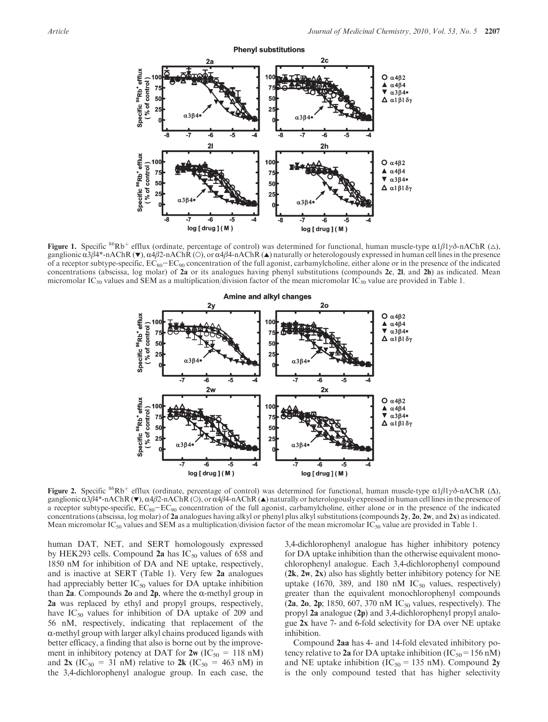

**Figure 1.** Specific <sup>86</sup>Rb<sup>+</sup> efflux (ordinate, percentage of control) was determined for functional, human muscle-type α1β1γδ-nAChR (Δ), ganglionic  $\alpha$ 3β4\*-nAChR ( $\blacktriangledown$ ),  $\alpha$ 4β2-nAChR (O), or  $\alpha$ 4β4-nAChR ( $\blacktriangle$ ) naturally or heterologously expressed in human cell lines in the presence of a receptor subtype-specific,  $EC_{80}-EC_{90}$  concentration of the full agonist, carbamylcholine, either alone or in the presence of the indicated concentrations (abscissa, log molar) of 2a or its analogues having phenyl substitutions (compounds 2c, 2l, and 2h) as indicated. Mean micromolar IC<sub>50</sub> values and SEM as a multiplication/division factor of the mean micromolar IC<sub>50</sub> value are provided in Table 1.



**Figure 2.** Specific <sup>86</sup>Rb<sup>+</sup> efflux (ordinate, percentage of control) was determined for functional, human muscle-type α1β1γδ-nAChR (Δ), ganglionic  $\alpha$ 3β4\*-nAChR ( $\vee$ ),  $\alpha$ 4β2-nAChR ( $\circ$ ), or  $\alpha$ 4β4-nAChR ( $\triangle$ ) naturally or heterologously expressed in human cell lines in the presence of a receptor subtype-specific,  $EC_{80}-EC_{90}$  concentration of the full agonist, carbamylcholine, either alone or in the presence of the indicated concentrations (abscissa, log molar) of 2a analogues having alkyl or phenyl plus alkyl substitutions (compounds  $2y$ ,  $20$ ,  $2w$ , and  $2x$ ) as indicated. Mean micromolar  $IC_{50}$  values and SEM as a multiplication/division factor of the mean micromolar  $IC_{50}$  value are provided in Table 1.

human DAT, NET, and SERT homologously expressed by HEK293 cells. Compound 2a has  $IC_{50}$  values of 658 and 1850 nM for inhibition of DA and NE uptake, respectively, and is inactive at SERT (Table 1). Very few 2a analogues had appreciably better  $IC_{50}$  values for DA uptake inhibition than 2a. Compounds 2o and 2p, where the  $\alpha$ -methyl group in 2a was replaced by ethyl and propyl groups, respectively, have  $IC_{50}$  values for inhibition of DA uptake of 209 and 56 nM, respectively, indicating that replacement of the  $\alpha$ -methyl group with larger alkyl chains produced ligands with better efficacy, a finding that also is borne out by the improvement in inhibitory potency at DAT for  $2w$  (IC<sub>50</sub> = 118 nM) and 2x (IC<sub>50</sub> = 31 nM) relative to 2k (IC<sub>50</sub> = 463 nM) in the 3,4-dichlorophenyl analogue group. In each case, the 3,4-dichlorophenyl analogue has higher inhibitory potency for DA uptake inhibition than the otherwise equivalent monochlorophenyl analogue. Each 3,4-dichlorophenyl compound  $(2k, 2w, 2x)$  also has slightly better inhibitory potency for NE uptake (1670, 389, and 180 nM  $IC_{50}$  values, respectively) greater than the equivalent monochlorophenyl compounds  $(2a, 2o, 2p; 1850, 607, 370 \text{ nM IC}_{50} \text{ values},$  respectively). The propyl 2a analogue (2p) and 3,4-dichlorophenyl propyl analogue 2x have 7- and 6-fold selectivity for DA over NE uptake inhibition.

Compound 2aa has 4- and 14-fold elevated inhibitory potency relative to 2a for DA uptake inhibition ( $IC_{50}$  = 156 nM) and NE uptake inhibition ( $IC_{50} = 135$  nM). Compound 2y is the only compound tested that has higher selectivity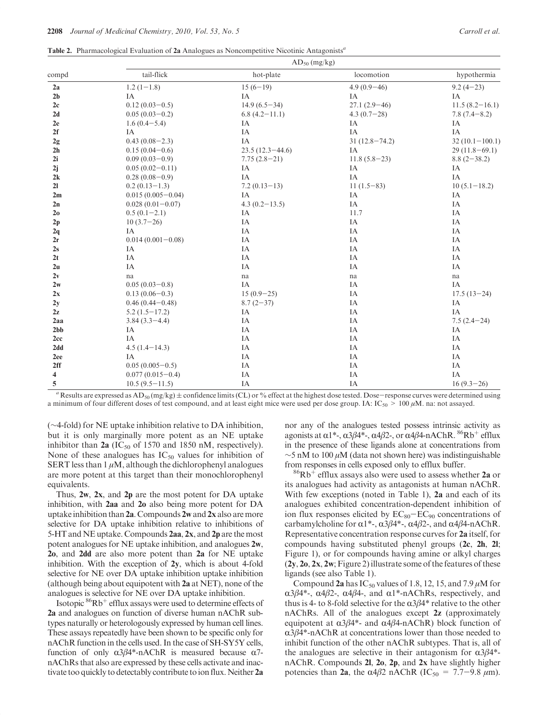Table 2. Pharmacological Evaluation of 2a Analogues as Noncompetitive Nicotinic Antagonists<sup>a</sup>

| compd          | $AD_{50}$ (mg/kg)     |                     |                   |                    |  |  |
|----------------|-----------------------|---------------------|-------------------|--------------------|--|--|
|                | tail-flick            | hot-plate           | locomotion        | hypothermia        |  |  |
| 2a             | $1.2(1-1.8)$          | $15(6-19)$          | $4.9(0.9-46)$     | $9.2(4-23)$        |  |  |
| 2 <sub>b</sub> | IA                    | IA                  | IA                | IA                 |  |  |
| 2c             | $0.12(0.03-0.5)$      | $14.9(6.5-34)$      | $27.1(2.9-46)$    | $11.5(8.2 - 16.1)$ |  |  |
| 2d             | $0.05(0.03-0.2)$      | $6.8(4.2 - 11.1)$   | $4.3(0.7-28)$     | $7.8(7.4-8.2)$     |  |  |
| 2e             | $1.6(0.4 - 5.4)$      | IA                  | IA                | IA                 |  |  |
| 2f             | IA                    | IA                  | IA                | IA                 |  |  |
| $2g$           | $0.43(0.08-2.3)$      | IA                  | $31(12.8 - 74.2)$ | $32(10.1 - 100.1)$ |  |  |
| 2 <sub>h</sub> | $0.15(0.04-0.6)$      | $23.5(12.3 - 44.6)$ | IA                | $29(11.8-69.1)$    |  |  |
| 2i             | $0.09(0.03-0.9)$      | $7.75(2.8-21)$      | $11.8(5.8-23)$    | $8.8(2-38.2)$      |  |  |
| 2j             | $0.05(0.02-0.11)$     | IA                  | IA                | IA                 |  |  |
| 2k             | $0.28(0.08-0.9)$      | IA                  | IA                | IA                 |  |  |
| 21             | $0.2(0.13-1.3)$       | $7.2(0.13-13)$      | $11(1.5-83)$      | $10(5.1 - 18.2)$   |  |  |
| 2m             | $0.015(0.005-0.04)$   | IA                  | IA                | IA                 |  |  |
| 2n             | $0.028(0.01 - 0.07)$  | $4.3(0.2 - 13.5)$   | IA                | IA                 |  |  |
| 2 <sub>0</sub> | $0.5(0.1-2.1)$        | IA                  | 11.7              | IA                 |  |  |
| 2p             | $10(3.7-26)$          | IA                  | IA                | IA                 |  |  |
| 2q             | IA                    | IA                  | IA                | IA                 |  |  |
| 2r             | $0.014(0.001 - 0.08)$ | IA                  | IA                | IA                 |  |  |
| 2s             | IA                    | IA                  | IA                | IA                 |  |  |
| 2t             | IA                    | IA                  | IA                | IA                 |  |  |
| 2u             | IA                    | IA                  | IA                | IA                 |  |  |
| 2v             | na                    | na                  | na                | na                 |  |  |
| 2w             | $0.05(0.03-0.8)$      | IA                  | IA                | IA                 |  |  |
| 2x             | $0.13(0.06-0.3)$      | $15(0.9-25)$        | IA                | $17.5(13-24)$      |  |  |
| 2y             | $0.46(0.44 - 0.48)$   | $8.7(2-37)$         | IA                | IA                 |  |  |
| 2z             | $5.2(1.5-17.2)$       | IA                  | IA                | IA                 |  |  |
| 2aa            | $3.84(3.3 - 4.4)$     | IA                  | IA                | $7.5(2.4-24)$      |  |  |
| 2bb            | IA                    | IA                  | IA                | IA                 |  |  |
| 2cc            | IA                    | IA                  | IA                | IA                 |  |  |
| 2dd            | $4.5(1.4-14.3)$       | IA                  | IA                | IA                 |  |  |
| 2ee            | IA                    | IA                  | IA                | IA                 |  |  |
| 2ff            | $0.05(0.005-0.5)$     | IA                  | IA                | IA                 |  |  |
| 4              | $0.077(0.015-0.4)$    | IA                  | IA                | IA                 |  |  |
| 5              | $10.5(9.5-11.5)$      | IA                  | IA                | $16(9.3-26)$       |  |  |

<sup>a</sup> Results are expressed as AD<sub>50</sub> (mg/kg)  $\pm$  confidence limits (CL) or % effect at the highest dose tested. Dose-response curves were determined using a minimum of four different doses of test compound, and at least eight mice were used per dose group. IA:  $IC_{50} > 100 \mu M$ . na: not assayed.

(∼4-fold) for NE uptake inhibition relative to DA inhibition, but it is only marginally more potent as an NE uptake inhibitor than  $2a$  (IC<sub>50</sub> of 1570 and 1850 nM, respectively). None of these analogues has  $IC_{50}$  values for inhibition of SERT less than  $1 \mu M$ , although the dichlorophenyl analogues are more potent at this target than their monochlorophenyl equivalents.

Thus, 2w, 2x, and 2p are the most potent for DA uptake inhibition, with 2aa and 2o also being more potent for DA uptake inhibition than  $2a$ . Compounds  $2w$  and  $2x$  also are more selective for DA uptake inhibition relative to inhibitions of 5-HT and NE uptake. Compounds 2aa, 2x, and 2p are the most potent analogues for NE uptake inhibition, and analogues 2w, 2o, and 2dd are also more potent than 2a for NE uptake inhibition. With the exception of 2y, which is about 4-fold selective for NE over DA uptake inhibition uptake inhibition (although being about equipotent with 2a at NET), none of the analogues is selective for NE over DA uptake inhibition.

Isotopic  ${}^{86}Rb^+$  efflux assays were used to determine effects of 2a and analogues on function of diverse human nAChR subtypes naturally or heterologously expressed by human cell lines. These assays repeatedly have been shown to be specific only for nAChR function in the cells used. In the case of SH-SY5Y cells, function of only  $α3β4*-nAChR$  is measured because  $α7$ nAChRs that also are expressed by these cells activate and inactivate too quickly to detectably contribute to ion flux. Neither 2a

nor any of the analogues tested possess intrinsic activity as agonists at  $\alpha$ 1\*-,  $\alpha$ 3β4\*-,  $\alpha$ 4β2-, or  $\alpha$ 4β4-nAChR. <sup>86</sup>Rb<sup>+</sup> efflux in the presence of these ligands alone at concentrations from  $\sim$ 5 nM to 100 μM (data not shown here) was indistinguishable from responses in cells exposed only to efflux buffer.

 $^{86}\mathrm{Rb}^+$  efflux assays also were used to assess whether  $2\mathrm{a}$  or its analogues had activity as antagonists at human nAChR. With few exceptions (noted in Table 1), 2a and each of its analogues exhibited concentration-dependent inhibition of ion flux responses elicited by  $EC_{80}-EC_{90}$  concentrations of carbamylcholine for  $\alpha$ 1\*-,  $\alpha$ 3β4\*-,  $\alpha$ 4β2-, and  $\alpha$ 4β4-nAChR. Representative concentration response curves for 2a itself, for compounds having substituted phenyl groups (2c, 2h, 2l; Figure 1), or for compounds having amine or alkyl charges  $(2y, 2o, 2x, 2w;$  Figure 2) illustrate some of the features of these ligands (see also Table 1).

Compound 2a has  $IC_{50}$  values of 1.8, 12, 15, and 7.9  $\mu$ M for  $\alpha$ 3β4\*-,  $\alpha$ 4β2-,  $\alpha$ 4β4-, and  $\alpha$ 1\*-nAChRs, respectively, and thus is 4- to 8-fold selective for the  $\alpha$ 3 $\beta$ 4\* relative to the other nAChRs. All of the analogues except 2z (approximately equipotent at  $α3β4^*$ - and  $α4β4$ -nAChR) block function of  $\alpha$ 3 $\beta$ 4\*-nAChR at concentrations lower than those needed to inhibit function of the other nAChR subtypes. That is, all of the analogues are selective in their antagonism for  $\alpha 3\beta 4^*$ nAChR. Compounds 2l, 2o, 2p, and 2x have slightly higher potencies than 2a, the  $\alpha$ 4β2 nAChR (IC<sub>50</sub> = 7.7–9.8  $\mu$ m).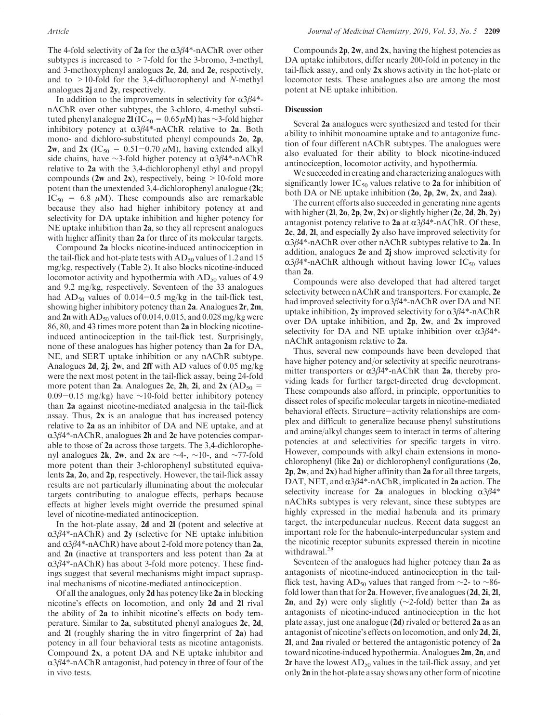The 4-fold selectivity of 2a for the  $\alpha$ 3 $\beta$ 4\*-nAChR over other subtypes is increased to  $>$  7-fold for the 3-bromo, 3-methyl, and 3-methoxyphenyl analogues 2c, 2d, and 2e, respectively, and to  $>10$ -fold for the 3,4-difluorophenyl and N-methyl analogues 2j and 2y, respectively.

In addition to the improvements in selectivity for  $\alpha 3\beta 4^*$ nAChR over other subtypes, the 3-chloro, 4-methyl substituted phenyl analogue 2l (IC<sub>50</sub> = 0.65 μM) has ∼3-fold higher inhibitory potency at  $\alpha$ 3β4\*-nAChR relative to 2a. Both mono- and dichloro-substituted phenyl compounds 2o, 2p, **2w**, and **2x** (IC<sub>50</sub> = 0.51–0.70  $\mu$ M), having extended alkyl side chains, have ∼3-fold higher potency at  $\alpha$ 3β4\*-nAChR relative to 2a with the 3,4-dichlorophenyl ethyl and propyl compounds (2w and 2x), respectively, being  $>10$ -fold more potent than the unextended 3,4-dichlorophenyl analogue (2k;  $IC_{50} = 6.8 \mu M$ ). These compounds also are remarkable because they also had higher inhibitory potency at and selectivity for DA uptake inhibition and higher potency for NE uptake inhibition than 2a, so they all represent analogues with higher affinity than 2a for three of its molecular targets.

Compound 2a blocks nicotine-induced antinociception in the tail-flick and hot-plate tests with  $AD_{50}$  values of 1.2 and 15 mg/kg, respectively (Table 2). It also blocks nicotine-induced locomotor activity and hypothermia with  $AD_{50}$  values of 4.9 and 9.2 mg/kg, respectively. Seventeen of the 33 analogues had  $AD_{50}$  values of 0.014–0.5 mg/kg in the tail-flick test, showing higher inhibitory potency than 2a. Analogues 2r, 2m, and  $2n$  with  $AD_{50}$  values of 0.014, 0.015, and 0.028 mg/kg were 86, 80, and 43 times more potent than 2a in blocking nicotineinduced antinociception in the tail-flick test. Surprisingly, none of these analogues has higher potency than 2a for DA, NE, and SERT uptake inhibition or any nAChR subtype. Analogues 2d, 2j, 2w, and 2ff with AD values of 0.05 mg/kg were the next most potent in the tail-flick assay, being 24-fold more potent than 2a. Analogues 2c, 2h, 2i, and 2x ( $AD_{50}$  = 0.09-0.15 mg/kg) have ∼10-fold better inhibitory potency than 2a against nicotine-mediated analgesia in the tail-flick assay. Thus, 2x is an analogue that has increased potency relative to 2a as an inhibitor of DA and NE uptake, and at  $\alpha$ 3 $\beta$ 4\*-nAChR, analogues 2h and 2c have potencies comparable to those of 2a across those targets. The 3,4-dichlorophenyl analogues 2k, 2w, and 2x are  $\sim$ 4-,  $\sim$ 10-, and  $\sim$ 77-fold more potent than their 3-chlorophenyl substituted equivalents 2a, 2o, and 2p, respectively. However, the tail-flick assay results are not particularly illuminating about the molecular targets contributing to analogue effects, perhaps because effects at higher levels might override the presumed spinal level of nicotine-mediated antinociception.

In the hot-plate assay, 2d and 2l (potent and selective at  $\alpha$ 3 $\beta$ 4\*-nAChR) and 2y (selective for NE uptake inhibition and  $\alpha$ 3 $\beta$ 4\*-nAChR) have about 2-fold more potency than 2a, and 2n (inactive at transporters and less potent than 2a at  $\alpha$ 3 $\beta$ 4\*-nAChR) has about 3-fold more potency. These findings suggest that several mechanisms might impact supraspinal mechanisms of nicotine-mediated antinociception.

Of all the analogues, only 2d has potency like 2a in blocking nicotine's effects on locomotion, and only 2d and 2l rival the ability of 2a to inhibit nicotine's effects on body temperature. Similar to 2a, substituted phenyl analogues 2c, 2d, and 2l (roughly sharing the in vitro fingerprint of 2a) had potency in all four behavioral tests as nicotine antagonists. Compound 2x, a potent DA and NE uptake inhibitor and  $\alpha$ 3 $\beta$ 4\*-nAChR antagonist, had potency in three of four of the in vivo tests.

Compounds  $2p$ ,  $2w$ , and  $2x$ , having the highest potencies as DA uptake inhibitors, differ nearly 200-fold in potency in the tail-flick assay, and only 2x shows activity in the hot-plate or locomotor tests. These analogues also are among the most potent at NE uptake inhibition.

## **Discussion**

Several 2a analogues were synthesized and tested for their ability to inhibit monoamine uptake and to antagonize function of four different nAChR subtypes. The analogues were also evaluated for their ability to block nicotine-induced antinociception, locomotor activity, and hypothermia.

We succeeded in creating and characterizing analogues with significantly lower  $IC_{50}$  values relative to 2a for inhibition of both DA or NE uptake inhibition (2o, 2p, 2w, 2x, and 2aa).

The current efforts also succeeded in generating nine agents with higher  $(2l, 2o, 2p, 2w, 2x)$  or slightly higher  $(2c, 2d, 2h, 2y)$ antagonist potency relative to 2a at  $\alpha 3\beta 4^*$ -nAChR. Of these, 2c, 2d, 2l, and especially 2y also have improved selectivity for  $\alpha$ 3β4\*-nAChR over other nAChR subtypes relative to 2a. In addition, analogues 2e and 2j show improved selectivity for  $\alpha$ 3 $\beta$ 4\*-nAChR although without having lower IC<sub>50</sub> values than 2a.

Compounds were also developed that had altered target selectivity between nAChR and transporters. For example, 2e had improved selectivity for  $\alpha 3\beta 4^*$ -nAChR over DA and NE uptake inhibition, 2y improved selectivity for  $\alpha 3\beta 4^*$ -nAChR over DA uptake inhibition, and 2p, 2w, and 2x improved selectivity for DA and NE uptake inhibition over  $\alpha 3\beta 4^*$ nAChR antagonism relative to 2a.

Thus, several new compounds have been developed that have higher potency and/or selectivity at specific neurotransmitter transporters or  $\alpha 3\beta 4^*$ -nAChR than 2a, thereby providing leads for further target-directed drug development. These compounds also afford, in principle, opportunities to dissect roles of specific molecular targets in nicotine-mediated behavioral effects. Structure-activity relationships are complex and difficult to generalize because phenyl substitutions and amine/alkyl changes seem to interact in terms of altering potencies at and selectivities for specific targets in vitro. However, compounds with alkyl chain extensions in monochlorophenyl (like 2a) or dichlorophenyl configurations (2o, 2p, 2w, and 2x) had higher affinity than 2a for all three targets, DAT, NET, and  $\alpha 3\beta 4^*$ -nAChR, implicated in 2a action. The selectivity increase for 2a analogues in blocking  $\alpha 3\beta 4^*$ nAChRs subtypes is very relevant, since these subtypes are highly expressed in the medial habenula and its primary target, the interpeduncular nucleus. Recent data suggest an important role for the habenulo-interpeduncular system and the nicotinic receptor subunits expressed therein in nicotine withdrawal.<sup>28</sup>

Seventeen of the analogues had higher potency than 2a as antagonists of nicotine-induced antinociception in the tailflick test, having AD<sub>50</sub> values that ranged from ∼2- to ∼86fold lower than that for 2a. However, five analogues (2d, 2i, 2l, 2n, and 2y) were only slightly (∼2-fold) better than 2a as antagonists of nicotine-induced antinociception in the hot plate assay, just one analogue (2d) rivaled or bettered 2a as an antagonist of nicotine's effects on locomotion, and only 2d, 2i, 2l, and 2aa rivaled or bettered the antagonistic potency of 2a toward nicotine-induced hypothermia. Analogues 2m, 2n, and 2r have the lowest  $AD_{50}$  values in the tail-flick assay, and yet only 2n in the hot-plate assay shows any other form of nicotine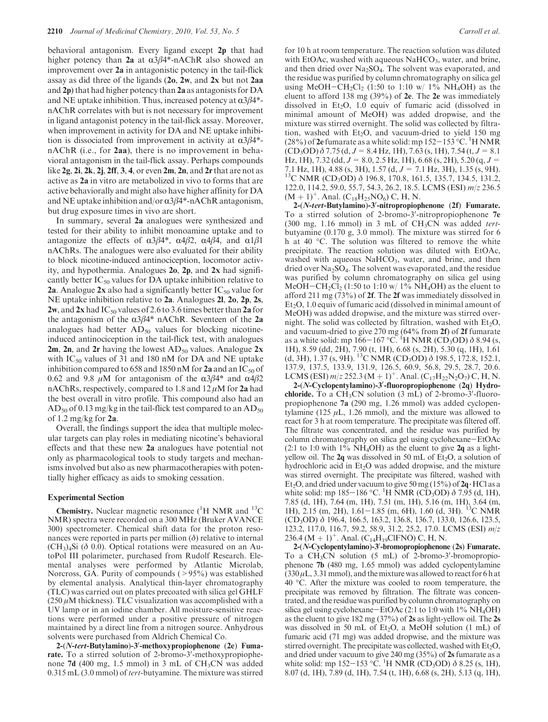behavioral antagonism. Every ligand except 2p that had higher potency than 2a at  $\alpha\beta\beta$ <sup>\*</sup>-nAChR also showed an improvement over 2a in antagonistic potency in the tail-flick assay as did three of the ligands (2o, 2w, and 2x but not 2aa and 2p) that had higher potency than 2a as antagonists for DA and NE uptake inhibition. Thus, increased potency at  $\alpha$ 3β4<sup>\*</sup>nAChR correlates with but is not necessary for improvement in ligand antagonist potency in the tail-flick assay. Moreover, when improvement in activity for DA and NE uptake inhibition is dissociated from improvement in activity at  $\alpha 3\beta 4^*$ nAChR (i.e., for 2aa), there is no improvement in behavioral antagonism in the tail-flick assay. Perhaps compounds like  $2g$ ,  $2i$ ,  $2k$ ,  $2j$ ,  $2ff$ ,  $3, 4$ , or even  $2m$ ,  $2n$ , and  $2r$  that are not as active as 2a in vitro are metabolized in vivo to forms that are active behaviorally and might also have higher affinity for DA and NE uptake inhibition and/or  $\alpha 3\beta 4^*$ -nAChR antagonism, but drug exposure times in vivo are short.

In summary, several 2a analogues were synthesized and tested for their ability to inhibit monoamine uptake and to antagonize the effects of  $\alpha 3\beta 4^*$ ,  $\alpha 4\beta 2$ ,  $\alpha 4\beta 4$ , and  $\alpha 1\beta 1$ nAChRs. The analogues were also evaluated for their ability to block nicotine-induced antinociception, locomotor activity, and hypothermia. Analogues 2o, 2p, and 2x had significantly better  $IC_{50}$  values for DA uptake inhibition relative to 2a. Analogue 2x also had a significantly better  $IC_{50}$  value for NE uptake inhibition relative to 2a. Analogues 2l, 2o, 2p, 2s, 2w, and 2x had IC<sub>50</sub> values of 2.6 to 3.6 times better than 2a for the antagonism of the  $\alpha$ 3 $\beta$ 4\* nAChR. Seventeen of the 2a analogues had better  $AD_{50}$  values for blocking nicotineinduced antinociception in the tail-flick test, with analogues 2m, 2n, and 2r having the lowest  $AD_{50}$  values. Analogue 2x with  $IC_{50}$  values of 31 and 180 nM for DA and NE uptake inhibition compared to 658 and 1850 nM for 2a and an IC<sub>50</sub> of 0.62 and 9.8 μM for antagonism of the  $\alpha$ 3β4\* and  $\alpha$ 4β2 nAChRs, respectively, compared to 1.8 and  $12 \mu$ M for 2a had the best overall in vitro profile. This compound also had an  $AD_{50}$  of 0.13 mg/kg in the tail-flick test compared to an  $AD_{50}$ of 1.2 mg/kg for  $2a$ .

Overall, the findings support the idea that multiple molecular targets can play roles in mediating nicotine's behavioral effects and that these new 2a analogues have potential not only as pharmacological tools to study targets and mechanisms involved but also as new pharmacotherapies with potentially higher efficacy as aids to smoking cessation.

#### Experimental Section

**Chemistry.** Nuclear magnetic resonance  $(^{1}H$  NMR and  $^{13}C$ NMR) spectra were recorded on a 300 MHz (Bruker AVANCE 300) spectrometer. Chemical shift data for the proton resonances were reported in parts per million  $(\delta)$  relative to internal  $(CH<sub>3</sub>)<sub>4</sub>Si$  ( $\delta$  0.0). Optical rotations were measured on an AutoPol III polarimeter, purchased from Rudolf Research. Elemental analyses were performed by Atlantic Microlab, Norcross, GA. Purity of compounds  $(>95%)$  was established by elemental analysis. Analytical thin-layer chromatography (TLC) was carried out on plates precoated with silica gel GHLF  $(250 \,\mu\text{M}$  thickness). TLC visualization was accomplished with a UV lamp or in an iodine chamber. All moisture-sensitive reactions were performed under a positive pressure of nitrogen maintained by a direct line from a nitrogen source. Anhydrous solvents were purchased from Aldrich Chemical Co.

2-(N-tert-Butylamino)-3'-methoxypropiophenone (2e) Fumarate. To a stirred solution of 2-bromo-3'-methoxypropiophenone 7d (400 mg, 1.5 mmol) in 3 mL of  $CH_3CN$  was added 0.315 mL (3.0 mmol) of tert-butyamine. The mixture was stirred

for 10 h at room temperature. The reaction solution was diluted with EtOAc, washed with aqueous  $NaHCO<sub>3</sub>$ , water, and brine, and then dried over  $Na<sub>2</sub>SO<sub>4</sub>$ . The solvent was evaporated, and the residue was purified by column chromatography on silica gel using MeOH-CH<sub>2</sub>Cl<sub>2</sub> (1:50 to 1:10 w/ 1% NH<sub>4</sub>OH) as the eluent to afford 138 mg (39%) of 2e. The 2e was immediately dissolved in  $Et<sub>2</sub>O$ , 1.0 equiv of fumaric acid (dissolved in minimal amount of MeOH) was added dropwise, and the mixture was stirred overnight. The solid was collected by filtration, washed with  $Et_2O$ , and vacuum-dried to yield 150 mg (28%) of 2e fumarate as a white solid: mp  $152-153$  °C. <sup>1</sup>H NMR  $(CD_3OD)$   $\delta$  7.75 (d, J = 8.4 Hz, 1H), 7.63 (s, 1H), 7.54 (t, J = 8.1) Hz, 1H), 7.32 (dd,  $J = 8.0$ , 2.5 Hz, 1H), 6.68 (s, 2H), 5.20 (q,  $J = 7.1$  Hz, 1H), 4.88 (s, 3H), 1.57 (d,  $J = 7.1$  Hz, 3H), 1.35 (s, 9H). <sup>13</sup>C NMR (CD<sub>3</sub>OD) δ 196.8, 170.8, 161.5, 135.7, 134.5, 131.2, 122.0, 114.2, 59.0, 55.7, 54.3, 26.2, 18.5. LCMS (ESI) m/z 236.5  $(M + 1)^+$ . Anal. (C<sub>18</sub>H<sub>25</sub>NO<sub>6</sub>) C, H, N.

2-(N-tert-Butylamino)-3'-nitropropiophenone (2f) Fumarate. To a stirred solution of 2-bromo-3'-nitropropiophenone 7e (300 mg, 1.16 mmol) in 3 mL of  $CH_3CN$  was added tertbutyamine (0.170 g, 3.0 mmol). The mixture was stirred for 6 h at 40  $^{\circ}$ C. The solution was filtered to remove the white precipitate. The reaction solution was diluted with EtOAc, washed with aqueous  $NAHCO<sub>3</sub>$ , water, and brine, and then dried over  $Na<sub>2</sub>SO<sub>4</sub>$ . The solvent was evaporated, and the residue was purified by column chromatography on silica gel using MeOH-CH<sub>2</sub>Cl<sub>2</sub> (1:50 to 1:10 w/ 1% NH<sub>4</sub>OH) as the eluent to afford 211 mg (73%) of 2f. The 2f was immediately dissolved in  $Et<sub>2</sub>O$ , 1.0 equiv of fumaric acid (dissolved in minimal amount of MeOH) was added dropwise, and the mixture was stirred overnight. The solid was collected by filtration, washed with  $Et<sub>2</sub>O$ , and vacuum-dried to give 270 mg (64% from 2f) of 2f fumarate<br>as a white solid: mp 166–167 °C. <sup>1</sup>H NMR (CD<sub>3</sub>OD)  $\delta$  8.94 (s, 1H), 8.59 (dd, 2H), 7.90 (t, 1H), 6.68 (s, 2H), 5.30 (q, 1H), 1.61 (d, 3H), 1.37 (s, 9H). <sup>13</sup>C NMR (CD<sub>3</sub>OD)  $\delta$  198.5, 172.8, 152.1, 137.9, 137.5, 133.9, 131.9, 126.5, 60.9, 56.8, 29.5, 28.7, 20.6. LCMS (ESI)  $m/z$  252.3 (M + 1)<sup>+</sup>. Anal. (C<sub>17</sub>H<sub>22</sub>N<sub>2</sub>O<sub>7</sub>) C, H, N.

2-(N-Cyclopentylamino)-3'-fluoropropiophenone (2q) Hydrochloride. To a  $CH<sub>3</sub>CN$  solution (3 mL) of 2-bromo-3'-fluoropropiophenone 7a (290 mg, 1.26 mmol) was added cyclopentylamine (125  $\mu$ L, 1.26 mmol), and the mixture was allowed to react for 3 h at room temperature. The precipitate was filtered off. The filtrate was concentrated, and the residue was purified by column chromatography on silica gel using cyclohexane-EtOAc (2:1 to 1:0 with 1% NH<sub>4</sub>OH) as the eluent to give  $2q$  as a lightyellow oil. The  $2q$  was dissolved in 50 mL of Et<sub>2</sub>O, a solution of hydrochloric acid in  $Et<sub>2</sub>O$  was added dropwise, and the mixture was stirred overnight. The precipitate was filtered, washed with Et<sub>2</sub>O, and dried under vacuum to give 50 mg (15%) of  $2q \cdot HCl$  as a white solid: mp 185–186 °C. <sup>1</sup>H NMR (CD<sub>3</sub>OD)  $\delta$  7.95 (d, 1H), 7.85 (d, 1H), 7.64 (m, 1H), 7.51 (m, 1H), 5.16 (m, 1H), 3.64 (m, 1H), 2.15 (m, 2H), 1.61-1.85 (m, 6H), 1.60 (d, 3H). 13C NMR (CD3OD) δ 196.4, 166.5, 163.2, 136.8, 136.7, 133.0, 126.6, 123.5, 123.2, 117.0, 116.7, 59.2, 58.9, 31.2, 25.2, 17.0. LCMS (ESI) m/z 236.4 (M + 1)<sup>+</sup>. Anal. (C<sub>14</sub>H<sub>19</sub>ClFNO) C, H, N.

2-(N-Cyclopentylamino)-3'-bromopropiophenone (2s) Fumarate. To a  $CH_3CN$  solution (5 mL) of 2-bromo-3'-bromopropiophenone 7b (480 mg, 1.65 mmol) was added cyclopentylamine  $(330 \,\mu L, 3.31 \,\text{mmol})$ , and the mixture was allowed to react for 6 h at 40  $^{\circ}$ C. After the mixture was cooled to room temperature, the precipitate was removed by filtration. The filtrate was concentrated, and the residue was purified by column chromatography on silica gel using cyclohexane–EtOAc  $(2:1$  to  $1:0$  with  $1\%$  NH<sub>4</sub>OH) as the eluent to give 182 mg (37%) of 2s as light-yellow oil. The 2s was dissolved in 50 mL of  $Et_2O$ , a MeOH solution (1 mL) of fumaric acid (71 mg) was added dropwise, and the mixture was stirred overnight. The precipitate was collected, washed with  $Et<sub>2</sub>O$ , and dried under vacuum to give 240 mg (35%) of 2s fumarate as a white solid: mp 152–153 °C. <sup>1</sup>H NMR (CD<sub>3</sub>OD)  $\delta$  8.25 (s, 1H), 8.07 (d, 1H), 7.89 (d, 1H), 7.54 (t, 1H), 6.68 (s, 2H), 5.13 (q, 1H),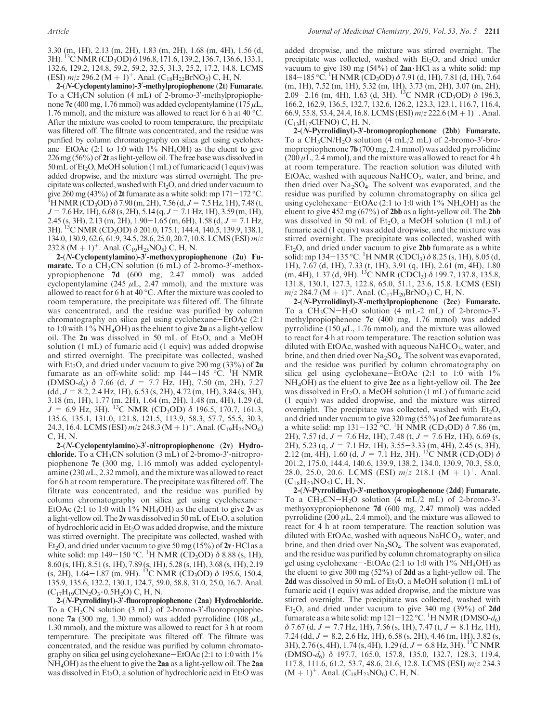3.30 (m, 1H), 2.13 (m, 2H), 1.83 (m, 2H), 1.68 (m, 4H), 1.56 (d, 3H). 13C NMR (CD3OD) δ 196.8, 171.6, 139.2, 136.7, 136.6, 133.1, 132.6, 129.2, 124.8, 59.2, 59.2, 32.5, 31.3, 25.2, 17.2, 14.8. LCMS (ESI)  $m/z$  296.2 (M + 1)<sup>+</sup>. Anal. (C<sub>18</sub>H<sub>22</sub>BrNO<sub>5</sub>) C, H, N.

2-(N-Cyclopentylamino)-3'-methylpropiophenone (2t) Fumarate. To a CH<sub>3</sub>CN solution  $(4 \text{ mL})$  of 2-bromo-3'-methylpropiophenone 7c (400 mg, 1.76 mmol) was added cyclopentylamine (175  $\mu$ L, 1.76 mmol), and the mixture was allowed to react for 6 h at 40  $^{\circ}$ C. After the mixture was cooled to room temperature, the precipitate was filtered off. The filtrate was concentrated, and the residue was purified by column chromatography on silica gel using cyclohexane-EtOAc (2:1 to 1:0 with  $1\%$  NH<sub>4</sub>OH) as the eluent to give 226 mg (56%) of 2t as light-yellow oil. The free base was dissolved in 50 mL of Et<sub>2</sub>O, MeOH solution (1 mL) of fumaric acid (1 equiv) was added dropwise, and the mixture was stirred overnight. The precipitate was collected, washed with  $Et<sub>2</sub>O$ , and dried under vacuum to give 260 mg (43%) of 2t fumarate as a white solid: mp  $171-172$  °C. <sup>1</sup>H NMR (CD<sub>3</sub>OD)  $\delta$  7.90 (m, 2H), 7.56 (d, J = 7.5 Hz, 1H), 7.48 (t,  $J = 7.6$  Hz, 1H), 6.68 (s, 2H), 5.14 (q,  $J = 7.1$  Hz, 1H), 3.59 (m, 1H), 2.45 (s, 3H), 2.13 (m, 2H),  $1.90-1.65$  (m, 6H),  $1.58$  (d,  $J = 7.1$  Hz, 3H). 13C NMR (CD3OD) δ 201.0, 175.1, 144.4, 140.5, 139.9, 138.1, 134.0, 130.9, 62.6, 61.9, 34.5, 28.6, 25.0, 20.7, 10.8. LCMS (ESI) m/z 232.8 (M + 1)<sup>+</sup>. Anal. (C<sub>19</sub>H<sub>25</sub>NO<sub>5</sub>) C, H, N.

2-(N-Cyclopentylamino)-3'-methoxypropiophenone (2u) Fumarate. To a  $CH<sub>3</sub>CN$  solution (6 mL) of 2-bromo-3'-methoxypropiophenone 7d (600 mg, 2.47 mmol) was added cyclopentylamine (245  $\mu$ L, 2.47 mmol), and the mixture was allowed to react for 6 h at 40 °C. After the mixture was cooled to room temperature, the precipitate was filtered off. The filtrate was concentrated, and the residue was purified by column chromatography on silica gel using cyclohexane-EtOAc (2:1 to 1:0 with 1%  $NH_4OH$ ) as the eluent to give 2u as a light-yellow oil. The  $2u$  was dissolved in 50 mL of Et<sub>2</sub>O, and a MeOH solution (1 mL) of fumaric acid (1 equiv) was added dropwise and stirred overnight. The precipitate was collected, washed with Et<sub>2</sub>O, and dried under vacuum to give 290 mg (33%) of  $2u$ fumarate as an off-white solid: mp  $144-145$  °C. <sup>1</sup>H NMR (DMSO- $d_6$ )  $\delta$  7.66 (d,  $J = 7.7$  Hz, 1H), 7.50 (m, 2H), 7.27  $(dd, J = 8.2, 2.4 \text{ Hz}, 1\text{H}), 6.53 \text{ (s, 2H)}, 4.72 \text{ (m, 1H)}, 3.84 \text{ (s, 3H)},$ 3.18 (m, 1H), 1.77 (m, 2H), 1.64 (m, 2H), 1.48 (m, 4H), 1.29 (d,  $J = 6.9$  Hz, 3H). <sup>13</sup>C NMR (CD<sub>3</sub>OD)  $\delta$  196.5, 170.7, 161.3, 135.6, 135.1, 131.0, 121.8, 121.5, 113.9, 58.3, 57.7, 55.5, 30.3, 24.3, 16.4. LCMS (ESI)  $m/z$  248.3 (M + 1)<sup>+</sup>. Anal. (C<sub>19</sub>H<sub>25</sub>NO<sub>6</sub>) C, H, N.

2-(N-Cyclopentylamino)-3'-nitropropiophenone (2v) Hydro**chloride.** To a  $CH_3CN$  solution  $(3 \text{ mL})$  of 2-bromo-3'-nitropropiophenone 7e (300 mg, 1.16 mmol) was added cyclopentylamine (230  $\mu$ L, 2.32 mmol), and the mixture was allowed to react for 6 h at room temperature. The precipitate was filtered off. The filtrate was concentrated, and the residue was purified by column chromatography on silica gel using cyclohexane-EtOAc (2:1 to 1:0 with  $1\%$  NH<sub>4</sub>OH) as the eluent to give 2v as a light-yellow oil. The 2v was dissolved in 50 mL of  $Et_2O$ , a solution of hydrochloric acid in  $Et<sub>2</sub>O$  was added dropwise, and the mixture was stirred overnight. The precipitate was collected, washed with Et<sub>2</sub>O, and dried under vacuum to give 50 mg (15%) of  $2v$  HCl as a white solid: mp 149–150 °C. <sup>1</sup>H NMR (CD<sub>3</sub>OD)  $\delta$  8.88 (s, 1H), 8.60 (s, 1H), 8.51 (s, 1H), 7.89 (s, 1H), 5.28 (s, 1H), 3.68 (s, 1H), 2.19 (s, 2H), 1.64–1.87 (m, 9H). <sup>13</sup>C NMR (CD<sub>3</sub>OD) δ 195.6, 150.4, 135.9, 135.6, 132.2, 130.1, 124.7, 59.0, 58.8, 31.0, 25.0, 16.7. Anal.  $(C_{17}H_{19}CIN_2O_3 \cdot 0.5H_2O)$  C, H, N.

2-(N-Pyrrolidinyl)-3'-fluoropropiophenone (2aa) Hydrochloride. To a  $CH_3CN$  solution (3 mL) of 2-bromo-3'-fluoropropiophenone 7a (300 mg, 1.30 mmol) was added pyrrolidine (108  $\mu$ L, 1.30 mmol), and the mixture was allowed to react for 3 h at room temperature. The precipitate was filtered off. The filtrate was concentrated, and the residue was purified by column chromatography on silica gel using cyclohexane-EtOAc (2:1 to 1:0 with 1% NH4OH) as the eluent to give the 2aa as a light-yellow oil. The 2aa was dissolved in  $Et_2O$ , a solution of hydrochloric acid in  $Et_2O$  was added dropwise, and the mixture was stirred overnight. The precipitate was collected, washed with  $Et<sub>2</sub>O$ , and dried under vacuum to give 180 mg (54%) of  $2aa \cdot HCl$  as a white solid: mp 184–185 °C. <sup>1</sup>H NMR (CD<sub>3</sub>OD) δ 7.91 (d, 1H), 7.81 (d, 1H), 7.64 (m, 1H), 7.52 (m, 1H), 5.32 (m, 1H), 3.73 (m, 2H), 3.07 (m, 2H), 2.09–2.16 (m, 4H), 1.63 (d, 3H). <sup>13</sup>C NMR (CD<sub>3</sub>OD) δ 196.3, 166.2, 162.9, 136.5, 132.7, 132.6, 126.2, 123.3, 123.1, 116.7, 116.4, 66.9, 55.8, 53.4, 24.4, 16.8. LCMS (ESI)  $m/z$  222.6 (M + 1)<sup>+</sup>. Anal.  $(C_{13}H_{17}CIFNO) C, H, N.$ 

2-(N-Pyrrolidinyl)-3'-bromopropiophenone (2bb) Fumarate. To a  $CH_3CN/H_2O$  solution (4 mL/2 mL) of 2-bromo-3'-bromopropiophenone 7b (700 mg, 2.4 mmol) was added pyrrolidine  $(200 \,\mu L, 2.4 \,\text{mmol})$ , and the mixture was allowed to react for 4 h at room temperature. The reaction solution was diluted with EtOAc, washed with aqueous  $NaHCO<sub>3</sub>$ , water, and brine, and then dried over  $Na<sub>2</sub>SO<sub>4</sub>$ . The solvent was evaporated, and the residue was purified by column chromatography on silica gel using cyclohexane-EtOAc (2:1 to 1:0 with  $1\%$  NH<sub>4</sub>OH) as the eluent to give  $452 \text{ mg} (67\%)$  of 2bb as a light-yellow oil. The 2bb was dissolved in 50 mL of  $Et_2O$ , a MeOH solution (1 mL) of fumaric acid (1 equiv) was added dropwise, and the mixture was stirred overnight. The precipitate was collected, washed with  $Et<sub>2</sub>O$ , and dried under vacuum to give **2bb** fumarate as a white solid: mp 134–135 °C. <sup>1</sup>H NMR (CDCl<sub>3</sub>)  $\delta$  8.25 (s, 1H), 8.05 (d, 1H), 7.67 (d, 1H), 7.33 (t, 1H), 3.91 (q, 1H), 2.61 (m, 4H), 1.80 (m, 4H), 1.37 (d, 9H). <sup>13</sup>C NMR (CDCl<sub>3</sub>) δ 199.7, 137.8, 135.8, 131.8, 130.1, 127.3, 122.8, 65.0, 51.1, 23.6, 15.8. LCMS (ESI)  $m/z$  284.7 (M + 1)<sup>+</sup>. Anal. (C<sub>17</sub>H<sub>20</sub>BrNO<sub>5</sub>) C, H, N.

2-(N-Pyrrolidinyl)-3'-methylpropiophenone (2cc) Fumarate. To a  $CH_3CN-H_2O$  solution (4 mL-2 mL) of 2-bromo-3'methylpropiophenone 7c (400 mg, 1.76 mmol) was added pyrrolidine (150  $\mu$ L, 1.76 mmol), and the mixture was allowed to react for 4 h at room temperature. The reaction solution was diluted with EtOAc, washed with aqueous  $NaHCO<sub>3</sub>$ , water, and brine, and then dried over  $Na<sub>2</sub>SO<sub>4</sub>$ . The solvent was evaporated, and the residue was purified by column chromatography on silica gel using cyclohexane-EtOAc  $(2:1)$  to  $1:0$  with  $1\%$ NH<sub>4</sub>OH) as the eluent to give 2cc as a light-yellow oil. The 2cc was dissolved in  $Et_2O$ , a MeOH solution (1 mL) of fumaric acid (1 equiv) was added dropwise, and the mixture was stirred overnight. The precipitate was collected, washed with Et<sub>2</sub>O, and dried under vacuum to give 320 mg (55%) of 2cc fumarate as a white solid: mp  $131-132$  °C. <sup>1</sup>H NMR (CD<sub>3</sub>OD)  $\delta$  7.86 (m, 2H), 7.57 (d,  $J = 7.6$  Hz, 1H), 7.48 (t,  $J = 7.6$  Hz, 1H), 6.69 (s, 2H), 5.23 (q,  $J = 7.1$  Hz, 1H), 3.55-3.33 (m, 4H), 2.45 (s, 3H), 2.12 (m, 4H), 1.60 (d,  $J = 7.1$  Hz, 3H). <sup>13</sup>C NMR (CD<sub>3</sub>OD)  $\delta$ 201.2, 175.0, 144.4, 140.6, 139.9, 138.2, 134.0, 130.9, 70.3, 58.0, 28.0, 25.0, 20.6. LCMS (ESI)  $m/z$  218.1 (M + 1)<sup>+</sup>. Anal.  $(C_{18}H_{23}NO_5)$  C, H, N.

2-(N-Pyrrolidinyl)-3'-methoxypropiophenone (2dd) Fumarate. To a  $CH_3CN-H_2O$  solution (4 mL/2 mL) of 2-bromo-3'methyoxypropiophenone 7d (600 mg, 2.47 mmol) was added pyrrolidine (200  $\mu$ L, 2.4 mmol), and the mixture was allowed to react for 4 h at room temperature. The reaction solution was diluted with EtOAc, washed with aqueous  $NaHCO<sub>3</sub>$ , water, and brine, and then dried over  $Na<sub>2</sub>SO<sub>4</sub>$ . The solvent was evaporated, and the residue was purified by column chromatography on silica gel using cyclohexane--EtOAc  $(2.1 \text{ to } 1.0 \text{ with } 1\% \text{ NH}_4\text{OH})$  as the eluent to give 300 mg (52%) of 2dd as a light-yellow oil. The **2dd** was dissolved in 50 mL of  $Et_2O$ , a MeOH solution (1 mL) of fumaric acid (1 equiv) was added dropwise, and the mixture was stirred overnight. The precipitate was collected, washed with Et<sub>2</sub>O, and dried under vacuum to give 340 mg  $(39\%)$  of 2dd fumarate as a white solid: mp  $121-122$  °C. <sup>1</sup>H NMR (DMSO- $d_6$ )  $\delta$  7.67 (d, J = 7.7 Hz, 1H), 7.56 (s, 1H), 7.47 (t, J = 8.1 Hz, 1H), 7.24 (dd,  $J = 8.2$ , 2.6 Hz, 1H), 6.58 (s, 2H), 4.46 (m, 1H), 3.82 (s, 3H), 2.76 (s, 4H), 1.74 (s, 4H), 1.29 (d,  $J = 6.8$  Hz, 3H). <sup>13</sup>C NMR (DMSO-d6) δ 197.7, 165.0, 157.8, 135.0, 132.7, 128.3, 119.4, 117.8, 111.6, 61.2, 53.7, 48.6, 21.6, 12.8. LCMS (ESI) m/z 234.3  $(M + 1)^+$ . Anal.  $(C_{18}H_{23}NO_6)$  C, H, N.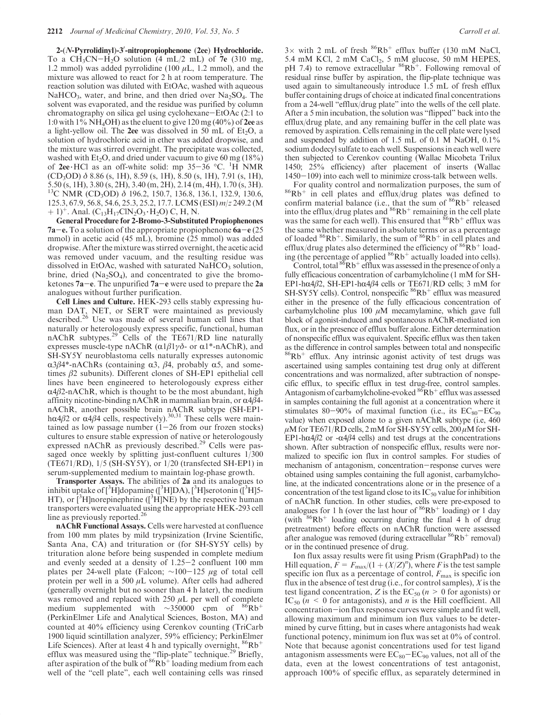2-(N-Pyrrolidinyl)-3'-nitropropiophenone (2ee) Hydrochloride. To a  $CH_3CN-H_2O$  solution (4 mL/2 mL) of 7e (310 mg, 1.2 mmol) was added pyrrolidine (100  $\mu$ L, 1.2 mmol), and the mixture was allowed to react for 2 h at room temperature. The reaction solution was diluted with EtOAc, washed with aqueous NaHCO<sub>3</sub>, water, and brine, and then dried over  $Na<sub>2</sub>SO<sub>4</sub>$ . The solvent was evaporated, and the residue was purified by column chromatography on silica gel using cyclohexane-EtOAc (2:1 to 1:0 with  $1\%$  NH<sub>4</sub>OH) as the eluent to give 120 mg (40%) of 2ee as a light-yellow oil. The 2ee was dissolved in 50 mL of  $Et<sub>2</sub>O$ , a solution of hydrochloric acid in ether was added dropwise, and the mixture was stirred overnight. The precipitate was collected, washed with  $Et<sub>2</sub>O$ , and dried under vacuum to give 60 mg (18%) of  $2ee$  HCl as an off-white solid: mp  $35-36$  °C. <sup>1</sup>H NMR  $(CD_3OD)$  δ 8.86 (s, 1H), 8.59 (s, 1H), 8.50 (s, 1H), 7.91 (s, 1H), 5.50 (s, 1H), 3.80 (s, 2H), 3.40 (m, 2H), 2.14 (m, 4H), 1.70 (s, 3H). <sup>13</sup>C NMR (CD<sub>3</sub>OD) δ 196.2, 150.7, 136.8, 136.1, 132.9, 130.6, 125.3, 67.9, 56.8, 54.6, 25.3, 25.2, 17.7. LCMS (ESI) m/z 249.2 (M  $(1)^{+}$ . Anal. (C<sub>13</sub>H<sub>17</sub>ClN<sub>2</sub>O<sub>3</sub> · H<sub>2</sub>O) C, H, N.

General Procedure for 2-Bromo-3-Substituted Propiophenones **7a-e.** To a solution of the appropriate propiophenone  $6a-e(25$ mmol) in acetic acid (45 mL), bromine (25 mmol) was added dropwise. After the mixture was stirred overnight, the acetic acid was removed under vacuum, and the resulting residue was dissolved in EtOAc, washed with saturated  $NAHCO<sub>3</sub>$  solution, brine, dried  $(Na_2SO_4)$ , and concentrated to give the bromoketones  $7a-e$ . The unpurified  $7a-e$  were used to prepare the 2a analogues without further purification.

Cell Lines and Culture. HEK-293 cells stably expressing human DAT, NET, or SERT were maintained as previously described. $2^6$  Use was made of several human cell lines that naturally or heterologously express specific, functional, human nAChR subtypes.29 Cells of the TE671/RD line naturally expresses muscle-type nAChR  $(\alpha 1\beta 1\gamma\delta$ - or  $\alpha 1^*$ -nAChR), and SH-SY5Y neuroblastoma cells naturally expresses autonomic  $\alpha$ 3β4\*-nAChRs (containing α3, β4, probably α5, and sometimes β2 subunits). Different clones of SH-EP1 epithelial cell lines have been engineered to heterologously express either  $\alpha$ 4 $\beta$ 2-nAChR, which is thought to be the most abundant, high affinity nicotine-binding nAChR in mammalian brain, or  $\alpha$ 4 $\beta$ 4nAChR, another possible brain nAChR subtype (SH-EP1-<br>hα4β2 or α4β4 cells, respectively).<sup>30,31</sup> These cells were maintained as low passage number  $(1-26$  from our frozen stocks) cultures to ensure stable expression of native or heterologously expressed nAChR as previously described.<sup>29</sup> Cells were passaged once weekly by splitting just-confluent cultures 1/300 (TE671/RD), 1/5 (SH-SY5Y), or 1/20 (transfected SH-EP1) in serum-supplemented medium to maintain log-phase growth.

Transporter Assays. The abilities of 2a and its analogues to inhibit uptake of  $[3\text{H}]$ dopamine  $([3\text{H}]DA)$ ,  $[3\text{H}]$ serotonin  $([3\text{H}]5-$ HT), or  $\rm \left[^{3}H\right]$ norepinephrine ( $\rm \left[^{3}H\right]NE$ ) by the respective human transporters were evaluated using the appropriate HEK-293 cell line as previously reported.<sup>26</sup>

nAChR Functional Assays. Cells were harvested at confluence from 100 mm plates by mild trypsinization (Irvine Scientific, Santa Ana, CA) and trituration or (for SH-SY5Y cells) by trituration alone before being suspended in complete medium and evenly seeded at a density of 1.25-2 confluent 100 mm plates per 24-well plate (Falcon;  $\sim$ 100-125 μg of total cell protein per well in a 500  $\mu$ L volume). After cells had adhered (generally overnight but no sooner than 4 h later), the medium was removed and replaced with  $250 \mu L$  per well of complete medium supplemented with ∼350000 cpm of  $86Rb^+$ (PerkinElmer Life and Analytical Sciences, Boston, MA) and counted at 40% efficiency using Cerenkov counting (TriCarb 1900 liquid scintillation analyzer, 59% efficiency; PerkinElmer Life Sciences). After at least 4 h and typically overnight,  ${}^{86}Rb^+$ efflux was measured using the "flip-plate" technique.<sup>29</sup> Briefly, after aspiration of the bulk of  ${}^{86}Rb^+$  loading medium from each well of the "cell plate", each well containing cells was rinsed

 $3 \times$  with 2 mL of fresh  ${}^{86}Rb^+$  efflux buffer (130 mM NaCl, 5.4 mM KCl, 2 mM CaCl<sub>2</sub>, 5 mM glucose, 50 mM HEPES, pH 7.4) to remove extracellular  ${}^{86}Rb^+$ . Following removal of residual rinse buffer by aspiration, the flip-plate technique was used again to simultaneously introduce 1.5 mL of fresh efflux buffer containing drugs of choice at indicated final concentrations from a 24-well "efflux/drug plate" into the wells of the cell plate. After a 5 min incubation, the solution was "flipped" back into the efflux/drug plate, and any remaining buffer in the cell plate was removed by aspiration. Cells remaining in the cell plate were lysed and suspended by addition of 1.5 mL of 0.1 M NaOH, 0.1% sodium dodecyl sulfate to each well. Suspensions in each well were then subjected to Cerenkov counting (Wallac Micobeta Trilux 1450; 25% efficiency) after placement of inserts (Wallac 1450-109) into each well to minimize cross-talk between wells.

For quality control and normalization purposes, the sum of  ${}^{86}Rb^+$  in cell plates and efflux/drug plates was defined to confirm material balance (i.e., that the sum of  $86Rb^+$  released into the efflux/drug plates and  $86Rb^+$  remaining in the cell plate was the same for each well). This ensured that  $86Rb^+$  efflux was the same whether measured in absolute terms or as a percentage of loaded  ${}^{86}Rb^+$ . Similarly, the sum of  ${}^{86}Rb^+$  in cell plates and efflux/drug plates also determined the efficiency of  $86Rb$ <sup>+</sup> loading (the percentage of applied  $86Rb<sup>+</sup>$  actually loaded into cells).

Control, total  ${}^{86}Rb^+$  efflux was assessed in the presence of only a fully efficacious concentration of carbamylcholine (1 mM for SH-EP1-hα4β2, SH-EP1-hα4β4 cells or TE671/RD cells; 3 mM for SH-SY5Y cells). Control, nonspecific  ${}^{86}Rb^+$  efflux was measured either in the presence of the fully efficacious concentration of carbamylcholine plus 100  $\mu$ M mecamylamine, which gave full block of agonist-induced and spontaneous nAChR-mediated ion flux, or in the presence of efflux buffer alone. Either determination of nonspecific efflux was equivalent. Specific efflux was then taken as the difference in control samples between total and nonspecific  ${}^{86}Rb^+$  efflux. Any intrinsic agonist activity of test drugs was ascertained using samples containing test drug only at different concentrations and was normalized, after subtraction of nonspecific efflux, to specific efflux in test drug-free, control samples. Antagonism of carbamylcholine-evoked  ${}^{86}Rb^+$  efflux was assessed in samples containing the full agonist at a concentration where it stimulates 80-90% of maximal function (i.e., its  $EC_{80}-EC_{90}$ value) when exposed alone to a given nAChR subtype (i.e, 460  $\mu$ M for TE671/RD cells, 2 mM for SH-SY5Y cells, 200  $\mu$ M for SH-EP1-h $\alpha$ 4 $\beta$ 2 or - $\alpha$ 4 $\beta$ 4 cells) and test drugs at the concentrations shown. After subtraction of nonspecific efflux, results were normalized to specific ion flux in control samples. For studies of mechanism of antagonism, concentration-response curves were obtained using samples containing the full agonist, carbamylcholine, at the indicated concentrations alone or in the presence of a concentration of the test ligand close to its  $IC_{50}$  value for inhibition of nAChR function. In other studies, cells were pre-exposed to analogues for 1 h (over the last hour of  $86Rb<sup>+</sup>$  loading) or 1 day (with  ${}^{86}Rb^+$  loading occurring during the final 4 h of drug pretreatment) before effects on nAChR function were assessed after analogue was removed (during extracellular  $86Rb<sup>+</sup>$  removal) or in the continued presence of drug.

Ion flux assay results were fit using Prism (GraphPad) to the Hill equation,  $\vec{F} = F_{\text{max}}/(1 + (X/Z)^n)$ , where  $\vec{F}$  is the test sample specific ion flux as a percentage of control,  $F_{\text{max}}$  is specific ion flux in the absence of test drug (i.e., for control samples),  $X$  is the test ligand concentration, Z is the  $EC_{50}$  ( $n > 0$  for agonists) or  $IC_{50}$  ( $n \leq 0$  for antagonists), and *n* is the Hill coefficient. All concentration-ion flux response curves were simple and fit well, allowing maximum and minimum ion flux values to be determined by curve fitting, but in cases where antagonists had weak functional potency, minimum ion flux was set at 0% of control. Note that because agonist concentrations used for test ligand antagonism assessments were  $EC_{80}-EC_{90}$  values, not all of the data, even at the lowest concentrations of test antagonist, approach 100% of specific efflux, as separately determined in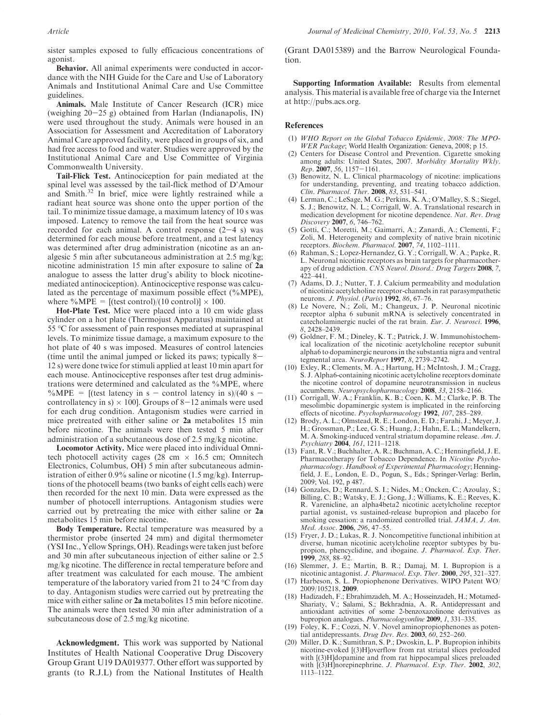sister samples exposed to fully efficacious concentrations of agonist.

Behavior. All animal experiments were conducted in accordance with the NIH Guide for the Care and Use of Laboratory Animals and Institutional Animal Care and Use Committee guidelines.

Animals. Male Institute of Cancer Research (ICR) mice (weighing  $20-25$  g) obtained from Harlan (Indianapolis, IN) were used throughout the study. Animals were housed in an Association for Assessment and Accreditation of Laboratory Animal Care approved facility, were placed in groups of six, and had free access to food and water. Studies were approved by the Institutional Animal Care and Use Committee of Virginia Commonwealth University.

Tail-Flick Test. Antinociception for pain mediated at the spinal level was assessed by the tail-flick method of D'Amour and Smith. $32$  In brief, mice were lightly restrained while a radiant heat source was shone onto the upper portion of the tail. To minimize tissue damage, a maximum latency of 10 s was imposed. Latency to remove the tail from the heat source was recorded for each animal. A control response  $(2-4 s)$  was determined for each mouse before treatment, and a test latency was determined after drug administration (nicotine as an analgesic 5 min after subcutaneous administration at 2.5 mg/kg; nicotine administration 15 min after exposure to saline of 2a analogue to assess the latter drug's ability to block nicotinemediated antinociception). Antinociceptive response was calculated as the percentage of maximum possible effect (%MPE), where %MPE = [(test control)/(10 control)]  $\times$  100.

Hot-Plate Test. Mice were placed into a 10 cm wide glass cylinder on a hot plate (Thermojust Apparatus) maintained at 55 C for assessment of pain responses mediated at supraspinal levels. To minimize tissue damage, a maximum exposure to the hot plate of 40 s was imposed. Measures of control latencies (time until the animal jumped or licked its paws; typically 8- 12 s) were done twice for stimuli applied at least 10 min apart for each mouse. Antinociceptive responses after test drug administrations were determined and calculated as the %MPE, where %MPE = [(test latency in s – control latency in s)/(40 s – controllatency in s)  $\times$  100]. Groups of 8-12 animals were used for each drug condition. Antagonism studies were carried in mice pretreated with either saline or 2a metabolites 15 min before nicotine. The animals were then tested 5 min after administration of a subcutaneous dose of 2.5 mg/kg nicotine.

Locomotor Activity. Mice were placed into individual Omnitech photocell activity cages (28 cm  $\times$  16.5 cm; Omnitech Electronics, Columbus, OH) 5 min after subcutaneous administration of either 0.9% saline or nicotine (1.5 mg/kg). Interruptions of the photocell beams (two banks of eight cells each) were then recorded for the next 10 min. Data were expressed as the number of photocell interruptions. Antagonism studies were carried out by pretreating the mice with either saline or 2a metabolites 15 min before nicotine.

Body Temperature. Rectal temperature was measured by a thermistor probe (inserted 24 mm) and digital thermometer (YSI Inc., Yellow Springs, OH). Readings were taken just before and 30 min after subcutaneous injection of either saline or 2.5 mg/kg nicotine. The difference in rectal temperature before and after treatment was calculated for each mouse. The ambient temperature of the laboratory varied from 21 to 24  $\mathrm{^{\circ}C}$  from day to day. Antagonism studies were carried out by pretreating the mice with either saline or 2a metabolites 15 min before nicotine. The animals were then tested 30 min after administration of a subcutaneous dose of 2.5 mg/kg nicotine.

Acknowledgment. This work was supported by National Institutes of Health National Cooperative Drug Discovery Group Grant U19 DA019377. Other effort was supported by grants (to R.J.L) from the National Institutes of Health (Grant DA015389) and the Barrow Neurological Foundation.

Supporting Information Available: Results from elemental analysis. This material is available free of charge via the Internet at http://pubs.acs.org.

### References

- (1) WHO Report on the Global Tobacco Epidemic, 2008: The MPO-WER Package; World Health Organization: Geneva, 2008; p 15.
- Centers for Disease Control and Prevention. Cigarette smoking among adults: United States, 2007. Morbidity Mortality Wkly.  $Rep. 2007, 56, 1157-1161.$
- (3) Benowitz, N. L. Clinical pharmacology of nicotine: implications for understanding, preventing, and treating tobacco addiction. Clin. Pharmacol. Ther. 2008, 83, 531–541.
- Lerman, C.; LeSage, M. G.; Perkins, K. A.; O'Malley, S. S.; Siegel, S. J.; Benowitz, N. L.; Corrigall, W. A. Translational research in medication development for nicotine dependence. Nat. Rev. Drug Discovery 2007, 6, 746–762.
- (5) Gotti, C.; Moretti, M.; Gaimarri, A.; Zanardi, A.; Clementi, F.; Zoli, M. Heterogeneity and complexity of native brain nicotinic receptors. Biochem. Pharmacol. 2007, 74, 1102–1111.
- (6) Rahman, S.; Lopez-Hernandez, G. Y.; Corrigall, W. A.; Papke, R. L. Neuronal nicotinic receptors as brain targets for pharmacotherapy of drug addiction. CNS Neurol. Disord.: Drug Targets 2008, 7, 422–441.
- (7) Adams, D. J.; Nutter, T. J. Calcium permeability and modulation of nicotinic acetylcholine receptor-channels in rat parasympathetic neurons. *J. Physiol.* (*Paris*) **1992**, 86, 67–76.
- (8) Le Novere, N.; Zoli, M.; Changeux, J. P. Neuronal nicotinic receptor alpha 6 subunit mRNA is selectively concentrated in catecholaminergic nuclei of the rat brain. Eur. J. Neurosci. 1996, 8, 2428–2439.
- (9) Goldner, F. M.; Dineley, K. T.; Patrick, J. W. Immunohistochemical localization of the nicotinic acetylcholine receptor subunit alpha6 to dopaminergic neurons in the substantia nigra and ventral tegmental area. NeuroReport 1997, 8, 2739–2742.
- (10) Exley, R.; Clements, M. A.; Hartung, H.; McIntosh, J. M.; Cragg, S. J. Alpha6-containing nicotinic acetylcholine receptors dominate the nicotine control of dopamine neurotransmission in nucleus accumbens. Neuropsychopharmacology 2008, 33, 2158–2166.
- (11) Corrigall, W. A.; Franklin, K. B.; Coen, K. M.; Clarke, P. B. The mesolimbic dopaminergic system is implicated in the reinforcing effects of nicotine. Psychopharmacology 1992, 107, 285-289.
- (12) Brody, A. L.; Olmstead, R. E.; London, E. D.; Farahi, J.; Meyer, J. H.; Grossman, P.; Lee, G. S.; Huang, J.; Hahn, E. L.; Mandelkern, M. A. Smoking-induced ventral striatum dopamine release. Am. J. Psychiatry 2004, 161, 1211–1218.
- (13) Fant, R. V.; Buchhalter, A. R.; Buchman, A. C.; Henningfield, J. E. Pharmacotherapy for Tobacco Dependence. In Nicotine Psychopharmacology. Handbook of Experimental Pharmacology; Henningfield, J. E., London, E. D., Pogun, S., Eds.; Springer-Verlag: Berlin, 2009; Vol. 192, p 487.
- (14) Gonzales, D.; Rennard, S. I.; Nides, M.; Oncken, C.; Azoulay, S.; Billing, C. B.; Watsky, E. J.; Gong, J.; Williams, K. E.; Reeves, K. R. Varenicline, an alpha4beta2 nicotinic acetylcholine receptor partial agonist, vs sustained-release bupropion and placebo for smoking cessation: a randomized controlled trial.  $JAMA$ ,  $J. Am$ . Med. Assoc. 2006, 296, 47–55.
- (15) Fryer, J. D.; Lukas, R. J. Noncompetitive functional inhibition at diverse, human nicotinic acetylcholine receptor subtypes by bupropion, phencyclidine, and ibogaine. J. Pharmacol. Exp. Ther. 1999, 288, 88–92.
- (16) Slemmer, J. E.; Martin, B. R.; Damaj, M. I. Bupropion is a nicotinic antagonist. J. Pharmacol. Exp. Ther. 2000, 295, 321-327.
- (17) Harbeson, S. L. Propiophenone Derivatives. WIPO Patent WO/ 2009/105218, 2009.
- (18) Hadizadeh, F.; Ebrahimzadeh, M. A.; Hosseinzadeh, H.; Motamed-Shariaty, V.; Salami, S.; Bekhradnia, A. R. Antidepressant and antioxidant activities of some 2-benzoxazolinone derivatives as bupropion analogues. Pharmacologyonline 2009, 1, 331–335.
- (19) Foley, K. F.; Cozzi, N. V. Novel aminopropiophenones as potential antidepressants. Drug Dev. Res.  $2003$ ,  $60$ ,  $252-260$ .
- (20) Miller, D. K.; Sumithran, S. P.; Dwoskin, L. P. Bupropion inhibits nicotine-evoked [(3)H]overflow from rat striatal slices preloaded with [(3)H]dopamine and from rat hippocampal slices preloaded with [(3)H]norepinephrine. J. Pharmacol. Exp. Ther. 2002, 302, 1113–1122.